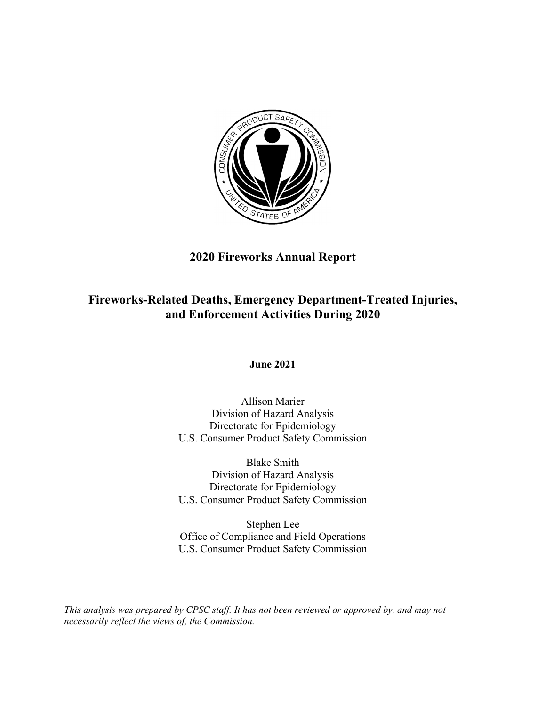

# **2020 Fireworks Annual Report**

# **Fireworks-Related Deaths, Emergency Department-Treated Injuries, and Enforcement Activities During 2020**

**June 2021**

Allison Marier Division of Hazard Analysis Directorate for Epidemiology U.S. Consumer Product Safety Commission

Blake Smith Division of Hazard Analysis Directorate for Epidemiology U.S. Consumer Product Safety Commission

Stephen Lee Office of Compliance and Field Operations U.S. Consumer Product Safety Commission

*This analysis was prepared by CPSC staff. It has not been reviewed or approved by, and may not necessarily reflect the views of, the Commission.*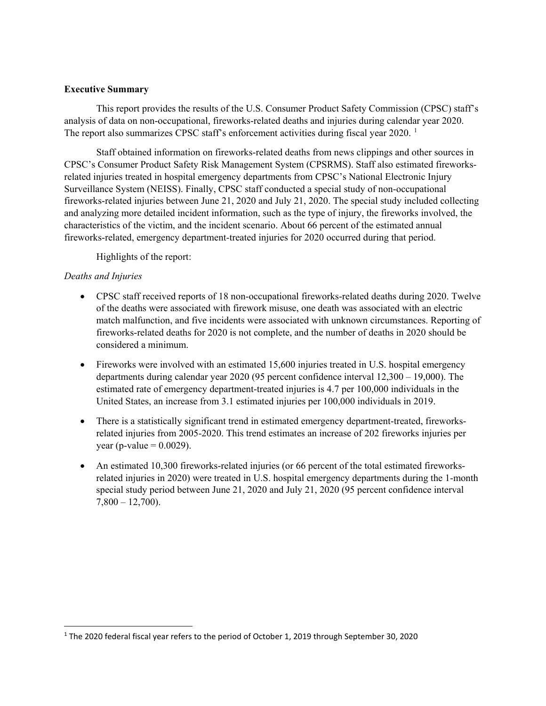## **Executive Summary**

This report provides the results of the U.S. Consumer Product Safety Commission (CPSC) staff's analysis of data on non-occupational, fireworks-related deaths and injuries during calendar year 2020. The report also summarizes CPSC staff's enforcement activities during fiscal year  $2020$ .<sup>[1](#page-1-0)</sup>

Staff obtained information on fireworks-related deaths from news clippings and other sources in CPSC's Consumer Product Safety Risk Management System (CPSRMS). Staff also estimated fireworksrelated injuries treated in hospital emergency departments from CPSC's National Electronic Injury Surveillance System (NEISS). Finally, CPSC staff conducted a special study of non-occupational fireworks-related injuries between June 21, 2020 and July 21, 2020. The special study included collecting and analyzing more detailed incident information, such as the type of injury, the fireworks involved, the characteristics of the victim, and the incident scenario. About 66 percent of the estimated annual fireworks-related, emergency department-treated injuries for 2020 occurred during that period.

Highlights of the report:

# *Deaths and Injuries*

- CPSC staff received reports of 18 non-occupational fireworks-related deaths during 2020. Twelve of the deaths were associated with firework misuse, one death was associated with an electric match malfunction, and five incidents were associated with unknown circumstances. Reporting of fireworks-related deaths for 2020 is not complete, and the number of deaths in 2020 should be considered a minimum.
- Fireworks were involved with an estimated 15,600 injuries treated in U.S. hospital emergency departments during calendar year 2020 (95 percent confidence interval 12,300 – 19,000). The estimated rate of emergency department-treated injuries is 4.7 per 100,000 individuals in the United States, an increase from 3.1 estimated injuries per 100,000 individuals in 2019.
- There is a statistically significant trend in estimated emergency department-treated, fireworksrelated injuries from 2005-2020. This trend estimates an increase of 202 fireworks injuries per year (p-value  $= 0.0029$ ).
- An estimated 10,300 fireworks-related injuries (or 66 percent of the total estimated fireworksrelated injuries in 2020) were treated in U.S. hospital emergency departments during the 1-month special study period between June 21, 2020 and July 21, 2020 (95 percent confidence interval  $7,800 - 12,700$ .

<span id="page-1-0"></span> <sup>1</sup> The 2020 federal fiscal year refers to the period of October 1, 2019 through September 30, 2020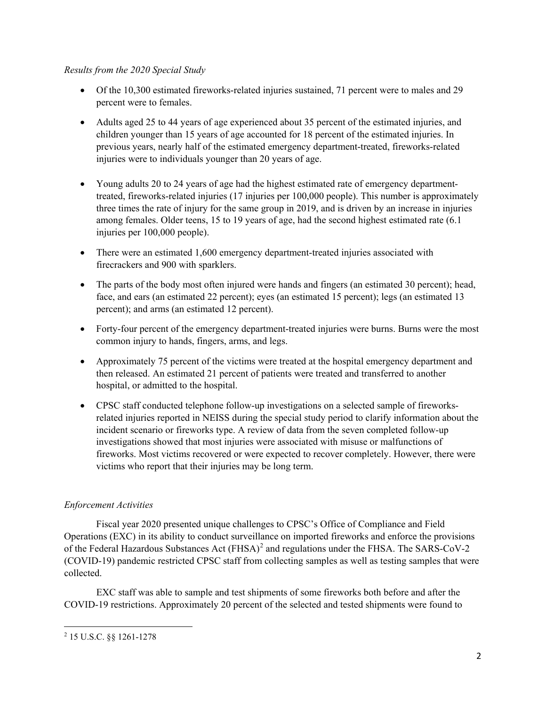## *Results from the 2020 Special Study*

- Of the 10,300 estimated fireworks-related injuries sustained, 71 percent were to males and 29 percent were to females.
- Adults aged 25 to 44 years of age experienced about 35 percent of the estimated injuries, and children younger than 15 years of age accounted for 18 percent of the estimated injuries. In previous years, nearly half of the estimated emergency department-treated, fireworks-related injuries were to individuals younger than 20 years of age.
- Young adults 20 to 24 years of age had the highest estimated rate of emergency departmenttreated, fireworks-related injuries (17 injuries per 100,000 people). This number is approximately three times the rate of injury for the same group in 2019, and is driven by an increase in injuries among females. Older teens, 15 to 19 years of age, had the second highest estimated rate (6.1 injuries per 100,000 people).
- There were an estimated 1,600 emergency department-treated injuries associated with firecrackers and 900 with sparklers.
- The parts of the body most often injured were hands and fingers (an estimated 30 percent); head, face, and ears (an estimated 22 percent); eyes (an estimated 15 percent); legs (an estimated 13 percent); and arms (an estimated 12 percent).
- Forty-four percent of the emergency department-treated injuries were burns. Burns were the most common injury to hands, fingers, arms, and legs.
- Approximately 75 percent of the victims were treated at the hospital emergency department and then released. An estimated 21 percent of patients were treated and transferred to another hospital, or admitted to the hospital.
- CPSC staff conducted telephone follow-up investigations on a selected sample of fireworksrelated injuries reported in NEISS during the special study period to clarify information about the incident scenario or fireworks type. A review of data from the seven completed follow-up investigations showed that most injuries were associated with misuse or malfunctions of fireworks. Most victims recovered or were expected to recover completely. However, there were victims who report that their injuries may be long term.

# *Enforcement Activities*

Fiscal year 2020 presented unique challenges to CPSC's Office of Compliance and Field Operations (EXC) in its ability to conduct surveillance on imported fireworks and enforce the provisions of the Federal Hazardous Substances Act (FHSA)<sup>[2](#page-2-0)</sup> and regulations under the FHSA. The SARS-CoV-2 (COVID-19) pandemic restricted CPSC staff from collecting samples as well as testing samples that were collected.

EXC staff was able to sample and test shipments of some fireworks both before and after the COVID-19 restrictions. Approximately 20 percent of the selected and tested shipments were found to

<span id="page-2-0"></span>l <sup>2</sup> 15 U.S.C. §§ 1261-1278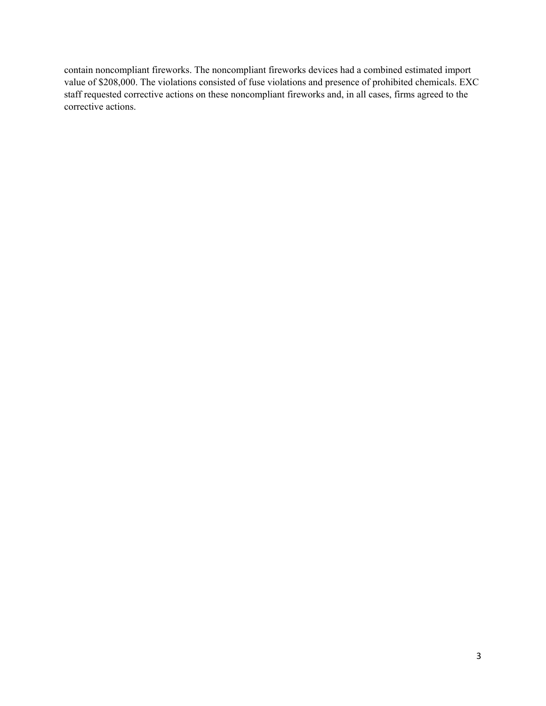contain noncompliant fireworks. The noncompliant fireworks devices had a combined estimated import value of \$208,000. The violations consisted of fuse violations and presence of prohibited chemicals. EXC staff requested corrective actions on these noncompliant fireworks and, in all cases, firms agreed to the corrective actions.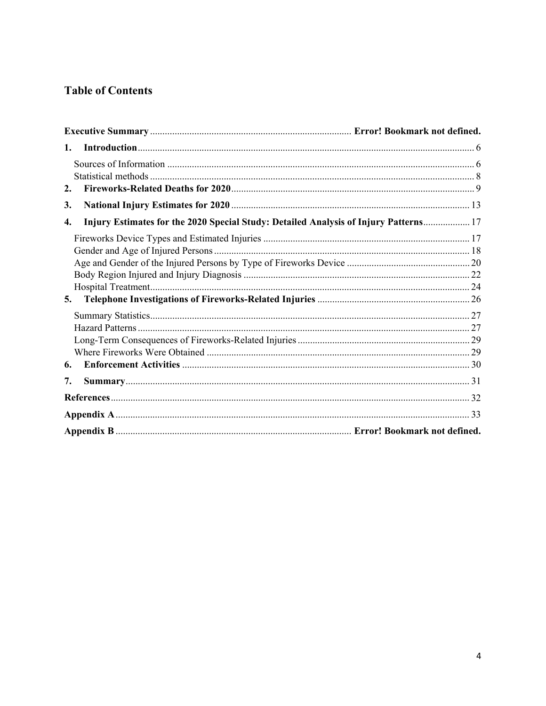# **Table of Contents**

| 1.                                                                                         |  |
|--------------------------------------------------------------------------------------------|--|
|                                                                                            |  |
|                                                                                            |  |
| 2.                                                                                         |  |
| 3.                                                                                         |  |
| Injury Estimates for the 2020 Special Study: Detailed Analysis of Injury Patterns 17<br>4. |  |
|                                                                                            |  |
|                                                                                            |  |
|                                                                                            |  |
|                                                                                            |  |
|                                                                                            |  |
| 5.                                                                                         |  |
|                                                                                            |  |
|                                                                                            |  |
|                                                                                            |  |
|                                                                                            |  |
| 6.                                                                                         |  |
| 7.                                                                                         |  |
|                                                                                            |  |
|                                                                                            |  |
|                                                                                            |  |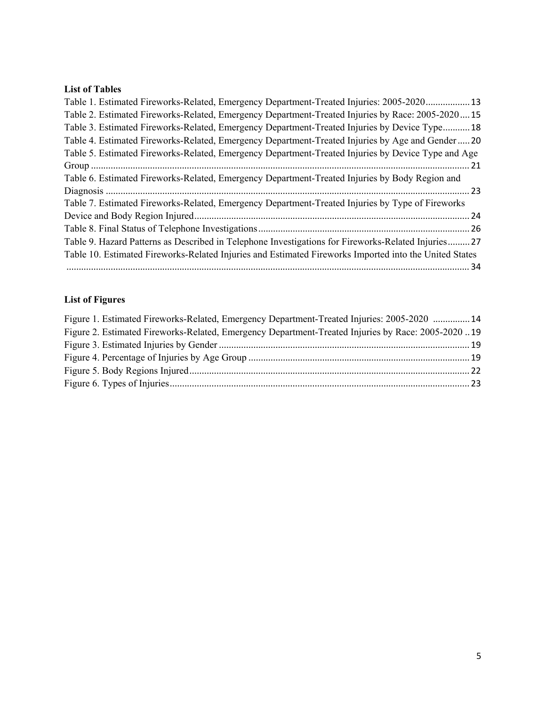# **List of Tables**

| Table 1. Estimated Fireworks-Related, Emergency Department-Treated Injuries: 2005-2020 13              |  |
|--------------------------------------------------------------------------------------------------------|--|
| Table 2. Estimated Fireworks-Related, Emergency Department-Treated Injuries by Race: 2005-202015       |  |
| Table 3. Estimated Fireworks-Related, Emergency Department-Treated Injuries by Device Type 18          |  |
| Table 4. Estimated Fireworks-Related, Emergency Department-Treated Injuries by Age and Gender 20       |  |
| Table 5. Estimated Fireworks-Related, Emergency Department-Treated Injuries by Device Type and Age     |  |
|                                                                                                        |  |
| Table 6. Estimated Fireworks-Related, Emergency Department-Treated Injuries by Body Region and         |  |
|                                                                                                        |  |
| Table 7. Estimated Fireworks-Related, Emergency Department-Treated Injuries by Type of Fireworks       |  |
|                                                                                                        |  |
|                                                                                                        |  |
| Table 9. Hazard Patterns as Described in Telephone Investigations for Fireworks-Related Injuries 27    |  |
| Table 10. Estimated Fireworks-Related Injuries and Estimated Fireworks Imported into the United States |  |
|                                                                                                        |  |
|                                                                                                        |  |

# **List of Figures**

| Figure 1. Estimated Fireworks-Related, Emergency Department-Treated Injuries: 2005-2020  14        |  |
|----------------------------------------------------------------------------------------------------|--|
| Figure 2. Estimated Fireworks-Related, Emergency Department-Treated Injuries by Race: 2005-2020 19 |  |
|                                                                                                    |  |
|                                                                                                    |  |
|                                                                                                    |  |
|                                                                                                    |  |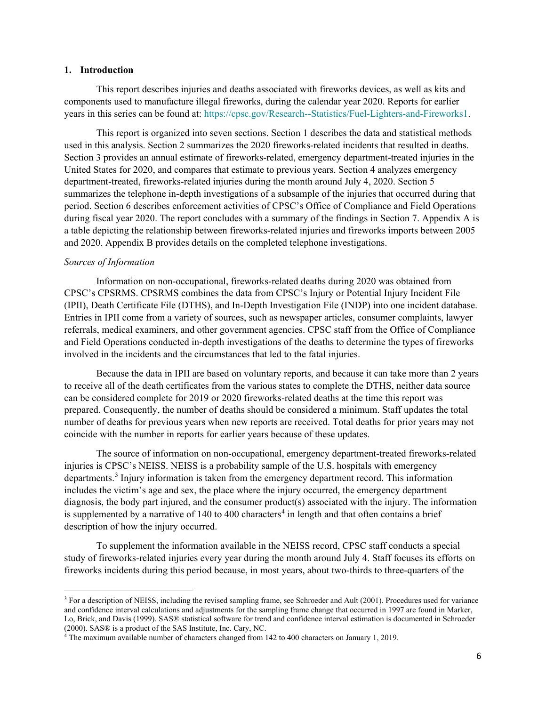#### <span id="page-6-0"></span>**1. Introduction**

This report describes injuries and deaths associated with fireworks devices, as well as kits and components used to manufacture illegal fireworks, during the calendar year 2020. Reports for earlier years in this series can be found at: [https://cpsc.gov/Research--Statistics/Fuel-Lighters-and-Fireworks1.](https://cpsc.gov/Research--Statistics/Fuel-Lighters-and-Fireworks1)

This report is organized into seven sections. Section 1 describes the data and statistical methods used in this analysis. Section 2 summarizes the 2020 fireworks-related incidents that resulted in deaths. Section 3 provides an annual estimate of fireworks-related, emergency department-treated injuries in the United States for 2020, and compares that estimate to previous years. Section 4 analyzes emergency department-treated, fireworks-related injuries during the month around July 4, 2020. Section 5 summarizes the telephone in-depth investigations of a subsample of the injuries that occurred during that period. Section 6 describes enforcement activities of CPSC's Office of Compliance and Field Operations during fiscal year 2020. The report concludes with a summary of the findings in Section 7. Appendix A is a table depicting the relationship between fireworks-related injuries and fireworks imports between 2005 and 2020. Appendix B provides details on the completed telephone investigations.

#### <span id="page-6-1"></span>*Sources of Information*

l

Information on non-occupational, fireworks-related deaths during 2020 was obtained from CPSC's CPSRMS. CPSRMS combines the data from CPSC's Injury or Potential Injury Incident File (IPII), Death Certificate File (DTHS), and In-Depth Investigation File (INDP) into one incident database. Entries in IPII come from a variety of sources, such as newspaper articles, consumer complaints, lawyer referrals, medical examiners, and other government agencies. CPSC staff from the Office of Compliance and Field Operations conducted in-depth investigations of the deaths to determine the types of fireworks involved in the incidents and the circumstances that led to the fatal injuries.

Because the data in IPII are based on voluntary reports, and because it can take more than 2 years to receive all of the death certificates from the various states to complete the DTHS, neither data source can be considered complete for 2019 or 2020 fireworks-related deaths at the time this report was prepared. Consequently, the number of deaths should be considered a minimum. Staff updates the total number of deaths for previous years when new reports are received. Total deaths for prior years may not coincide with the number in reports for earlier years because of these updates.

The source of information on non-occupational, emergency department-treated fireworks-related injuries is CPSC's NEISS. NEISS is a probability sample of the U.S. hospitals with emergency departments.<sup>[3](#page-6-2)</sup> Injury information is taken from the emergency department record. This information includes the victim's age and sex, the place where the injury occurred, the emergency department diagnosis, the body part injured, and the consumer product(s) associated with the injury. The information is supplemented by a narrative of 1[4](#page-6-3)0 to 400 characters<sup>4</sup> in length and that often contains a brief description of how the injury occurred.

To supplement the information available in the NEISS record, CPSC staff conducts a special study of fireworks-related injuries every year during the month around July 4. Staff focuses its efforts on fireworks incidents during this period because, in most years, about two-thirds to three-quarters of the

<span id="page-6-2"></span><sup>3</sup> For a description of NEISS, including the revised sampling frame, see Schroeder and Ault (2001). Procedures used for variance and confidence interval calculations and adjustments for the sampling frame change that occurred in 1997 are found in Marker, Lo, Brick, and Davis (1999). SAS® statistical software for trend and confidence interval estimation is documented in Schroeder (2000). SAS® is a product of the SAS Institute, Inc. Cary, NC.<br><sup>4</sup> The maximum available number of characters changed from 142 to 400 characters on January 1, 2019.

<span id="page-6-3"></span>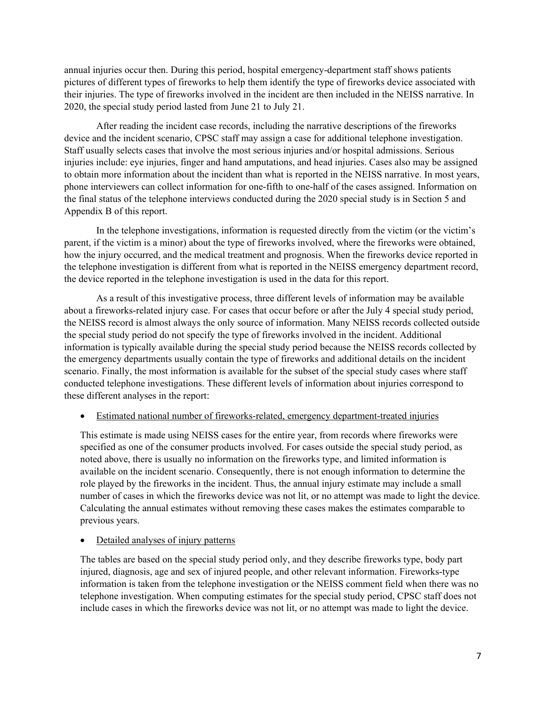annual injuries occur then. During this period, hospital emergency-department staff shows patients pictures of different types of fireworks to help them identify the type of fireworks device associated with their injuries. The type of fireworks involved in the incident are then included in the NEISS narrative. In 2020, the special study period lasted from June 21 to July 21.

After reading the incident case records, including the narrative descriptions of the fireworks device and the incident scenario, CPSC staff may assign a case for additional telephone investigation. Staff usually selects cases that involve the most serious injuries and/or hospital admissions. Serious injuries include: eye injuries, finger and hand amputations, and head injuries. Cases also may be assigned to obtain more information about the incident than what is reported in the NEISS narrative. In most years, phone interviewers can collect information for one-fifth to one-half of the cases assigned. Information on the final status of the telephone interviews conducted during the 2020 special study is in Section 5 and Appendix B of this report.

In the telephone investigations, information is requested directly from the victim (or the victim's parent, if the victim is a minor) about the type of fireworks involved, where the fireworks were obtained, how the injury occurred, and the medical treatment and prognosis. When the fireworks device reported in the telephone investigation is different from what is reported in the NEISS emergency department record, the device reported in the telephone investigation is used in the data for this report.

As a result of this investigative process, three different levels of information may be available about a fireworks-related injury case. For cases that occur before or after the July 4 special study period, the NEISS record is almost always the only source of information. Many NEISS records collected outside the special study period do not specify the type of fireworks involved in the incident. Additional information is typically available during the special study period because the NEISS records collected by the emergency departments usually contain the type of fireworks and additional details on the incident scenario. Finally, the most information is available for the subset of the special study cases where staff conducted telephone investigations. These different levels of information about injuries correspond to these different analyses in the report:

## • Estimated national number of fireworks-related, emergency department-treated injuries

This estimate is made using NEISS cases for the entire year, from records where fireworks were specified as one of the consumer products involved. For cases outside the special study period, as noted above, there is usually no information on the fireworks type, and limited information is available on the incident scenario. Consequently, there is not enough information to determine the role played by the fireworks in the incident. Thus, the annual injury estimate may include a small number of cases in which the fireworks device was not lit, or no attempt was made to light the device. Calculating the annual estimates without removing these cases makes the estimates comparable to previous years.

## • Detailed analyses of injury patterns

The tables are based on the special study period only, and they describe fireworks type, body part injured, diagnosis, age and sex of injured people, and other relevant information. Fireworks-type information is taken from the telephone investigation or the NEISS comment field when there was no telephone investigation. When computing estimates for the special study period, CPSC staff does not include cases in which the fireworks device was not lit, or no attempt was made to light the device.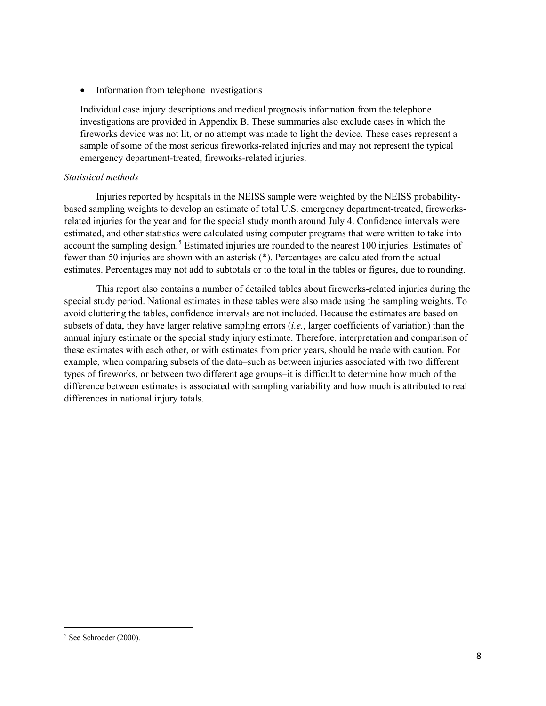• Information from telephone investigations

Individual case injury descriptions and medical prognosis information from the telephone investigations are provided in Appendix B. These summaries also exclude cases in which the fireworks device was not lit, or no attempt was made to light the device. These cases represent a sample of some of the most serious fireworks-related injuries and may not represent the typical emergency department-treated, fireworks-related injuries.

# <span id="page-8-0"></span>*Statistical methods*

Injuries reported by hospitals in the NEISS sample were weighted by the NEISS probabilitybased sampling weights to develop an estimate of total U.S. emergency department-treated, fireworksrelated injuries for the year and for the special study month around July 4. Confidence intervals were estimated, and other statistics were calculated using computer programs that were written to take into account the sampling design.<sup>[5](#page-8-1)</sup> Estimated injuries are rounded to the nearest 100 injuries. Estimates of fewer than 50 injuries are shown with an asterisk (\*). Percentages are calculated from the actual estimates. Percentages may not add to subtotals or to the total in the tables or figures, due to rounding.

This report also contains a number of detailed tables about fireworks-related injuries during the special study period. National estimates in these tables were also made using the sampling weights. To avoid cluttering the tables, confidence intervals are not included. Because the estimates are based on subsets of data, they have larger relative sampling errors (*i.e.*, larger coefficients of variation) than the annual injury estimate or the special study injury estimate. Therefore, interpretation and comparison of these estimates with each other, or with estimates from prior years, should be made with caution. For example, when comparing subsets of the data–such as between injuries associated with two different types of fireworks, or between two different age groups–it is difficult to determine how much of the difference between estimates is associated with sampling variability and how much is attributed to real differences in national injury totals.

 $\overline{\phantom{a}}$ 

<span id="page-8-1"></span><sup>5</sup> See Schroeder (2000).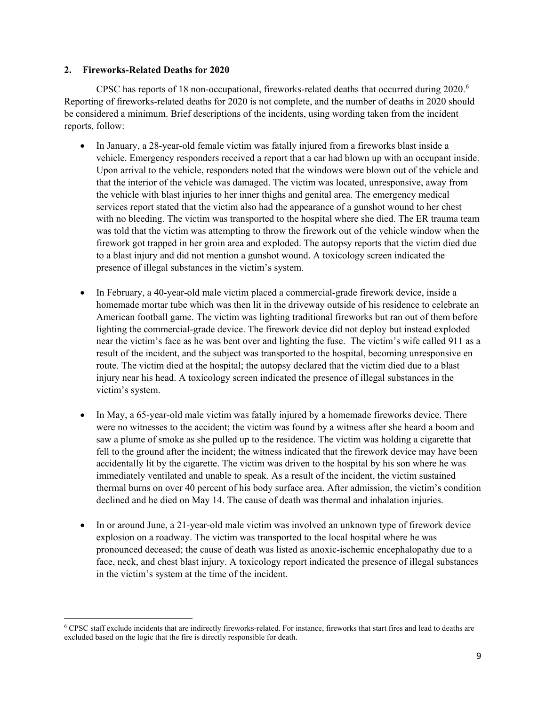## **2. Fireworks-Related Deaths for 2020**

 $\overline{a}$ 

CPSC has reports of 18 non-occupational, fireworks-related deaths that occurred during  $2020$ .<sup>[6](#page-9-0)</sup> Reporting of fireworks-related deaths for 2020 is not complete, and the number of deaths in 2020 should be considered a minimum. Brief descriptions of the incidents, using wording taken from the incident reports, follow:

- In January, a 28-year-old female victim was fatally injured from a fireworks blast inside a vehicle. Emergency responders received a report that a car had blown up with an occupant inside. Upon arrival to the vehicle, responders noted that the windows were blown out of the vehicle and that the interior of the vehicle was damaged. The victim was located, unresponsive, away from the vehicle with blast injuries to her inner thighs and genital area. The emergency medical services report stated that the victim also had the appearance of a gunshot wound to her chest with no bleeding. The victim was transported to the hospital where she died. The ER trauma team was told that the victim was attempting to throw the firework out of the vehicle window when the firework got trapped in her groin area and exploded. The autopsy reports that the victim died due to a blast injury and did not mention a gunshot wound. A toxicology screen indicated the presence of illegal substances in the victim's system.
- In February, a 40-year-old male victim placed a commercial-grade firework device, inside a homemade mortar tube which was then lit in the driveway outside of his residence to celebrate an American football game. The victim was lighting traditional fireworks but ran out of them before lighting the commercial-grade device. The firework device did not deploy but instead exploded near the victim's face as he was bent over and lighting the fuse. The victim's wife called 911 as a result of the incident, and the subject was transported to the hospital, becoming unresponsive en route. The victim died at the hospital; the autopsy declared that the victim died due to a blast injury near his head. A toxicology screen indicated the presence of illegal substances in the victim's system.
- In May, a 65-year-old male victim was fatally injured by a homemade fireworks device. There were no witnesses to the accident; the victim was found by a witness after she heard a boom and saw a plume of smoke as she pulled up to the residence. The victim was holding a cigarette that fell to the ground after the incident; the witness indicated that the firework device may have been accidentally lit by the cigarette. The victim was driven to the hospital by his son where he was immediately ventilated and unable to speak. As a result of the incident, the victim sustained thermal burns on over 40 percent of his body surface area. After admission, the victim's condition declined and he died on May 14. The cause of death was thermal and inhalation injuries.
- In or around June, a 21-year-old male victim was involved an unknown type of firework device explosion on a roadway. The victim was transported to the local hospital where he was pronounced deceased; the cause of death was listed as anoxic-ischemic encephalopathy due to a face, neck, and chest blast injury. A toxicology report indicated the presence of illegal substances in the victim's system at the time of the incident.

<span id="page-9-0"></span><sup>6</sup> CPSC staff exclude incidents that are indirectly fireworks-related. For instance, fireworks that start fires and lead to deaths are excluded based on the logic that the fire is directly responsible for death.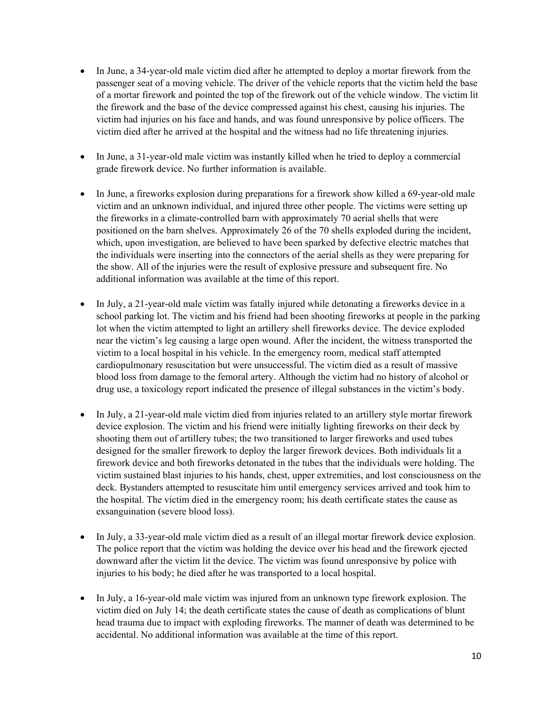- In June, a 34-year-old male victim died after he attempted to deploy a mortar firework from the passenger seat of a moving vehicle. The driver of the vehicle reports that the victim held the base of a mortar firework and pointed the top of the firework out of the vehicle window. The victim lit the firework and the base of the device compressed against his chest, causing his injuries. The victim had injuries on his face and hands, and was found unresponsive by police officers. The victim died after he arrived at the hospital and the witness had no life threatening injuries.
- In June, a 31-year-old male victim was instantly killed when he tried to deploy a commercial grade firework device. No further information is available.
- In June, a fireworks explosion during preparations for a firework show killed a 69-year-old male victim and an unknown individual, and injured three other people. The victims were setting up the fireworks in a climate-controlled barn with approximately 70 aerial shells that were positioned on the barn shelves. Approximately 26 of the 70 shells exploded during the incident, which, upon investigation, are believed to have been sparked by defective electric matches that the individuals were inserting into the connectors of the aerial shells as they were preparing for the show. All of the injuries were the result of explosive pressure and subsequent fire. No additional information was available at the time of this report.
- In July, a 21-year-old male victim was fatally injured while detonating a fireworks device in a school parking lot. The victim and his friend had been shooting fireworks at people in the parking lot when the victim attempted to light an artillery shell fireworks device. The device exploded near the victim's leg causing a large open wound. After the incident, the witness transported the victim to a local hospital in his vehicle. In the emergency room, medical staff attempted cardiopulmonary resuscitation but were unsuccessful. The victim died as a result of massive blood loss from damage to the femoral artery. Although the victim had no history of alcohol or drug use, a toxicology report indicated the presence of illegal substances in the victim's body.
- In July, a 21-year-old male victim died from injuries related to an artillery style mortar firework device explosion. The victim and his friend were initially lighting fireworks on their deck by shooting them out of artillery tubes; the two transitioned to larger fireworks and used tubes designed for the smaller firework to deploy the larger firework devices. Both individuals lit a firework device and both fireworks detonated in the tubes that the individuals were holding. The victim sustained blast injuries to his hands, chest, upper extremities, and lost consciousness on the deck. Bystanders attempted to resuscitate him until emergency services arrived and took him to the hospital. The victim died in the emergency room; his death certificate states the cause as exsanguination (severe blood loss).
- In July, a 33-year-old male victim died as a result of an illegal mortar firework device explosion. The police report that the victim was holding the device over his head and the firework ejected downward after the victim lit the device. The victim was found unresponsive by police with injuries to his body; he died after he was transported to a local hospital.
- In July, a 16-year-old male victim was injured from an unknown type firework explosion. The victim died on July 14; the death certificate states the cause of death as complications of blunt head trauma due to impact with exploding fireworks. The manner of death was determined to be accidental. No additional information was available at the time of this report.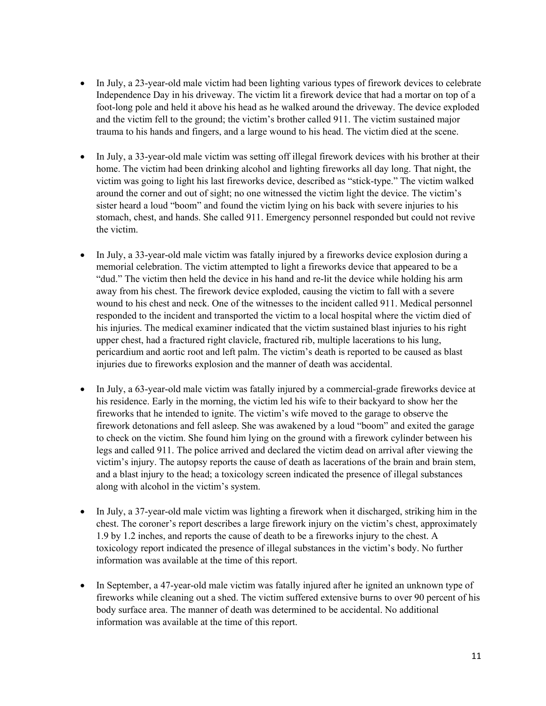- In July, a 23-year-old male victim had been lighting various types of firework devices to celebrate Independence Day in his driveway. The victim lit a firework device that had a mortar on top of a foot-long pole and held it above his head as he walked around the driveway. The device exploded and the victim fell to the ground; the victim's brother called 911. The victim sustained major trauma to his hands and fingers, and a large wound to his head. The victim died at the scene.
- In July, a 33-year-old male victim was setting off illegal firework devices with his brother at their home. The victim had been drinking alcohol and lighting fireworks all day long. That night, the victim was going to light his last fireworks device, described as "stick-type." The victim walked around the corner and out of sight; no one witnessed the victim light the device. The victim's sister heard a loud "boom" and found the victim lying on his back with severe injuries to his stomach, chest, and hands. She called 911. Emergency personnel responded but could not revive the victim.
- In July, a 33-year-old male victim was fatally injured by a fireworks device explosion during a memorial celebration. The victim attempted to light a fireworks device that appeared to be a "dud." The victim then held the device in his hand and re-lit the device while holding his arm away from his chest. The firework device exploded, causing the victim to fall with a severe wound to his chest and neck. One of the witnesses to the incident called 911. Medical personnel responded to the incident and transported the victim to a local hospital where the victim died of his injuries. The medical examiner indicated that the victim sustained blast injuries to his right upper chest, had a fractured right clavicle, fractured rib, multiple lacerations to his lung, pericardium and aortic root and left palm. The victim's death is reported to be caused as blast injuries due to fireworks explosion and the manner of death was accidental.
- In July, a 63-year-old male victim was fatally injured by a commercial-grade fireworks device at his residence. Early in the morning, the victim led his wife to their backyard to show her the fireworks that he intended to ignite. The victim's wife moved to the garage to observe the firework detonations and fell asleep. She was awakened by a loud "boom" and exited the garage to check on the victim. She found him lying on the ground with a firework cylinder between his legs and called 911. The police arrived and declared the victim dead on arrival after viewing the victim's injury. The autopsy reports the cause of death as lacerations of the brain and brain stem, and a blast injury to the head; a toxicology screen indicated the presence of illegal substances along with alcohol in the victim's system.
- In July, a 37-year-old male victim was lighting a firework when it discharged, striking him in the chest. The coroner's report describes a large firework injury on the victim's chest, approximately 1.9 by 1.2 inches, and reports the cause of death to be a fireworks injury to the chest. A toxicology report indicated the presence of illegal substances in the victim's body. No further information was available at the time of this report.
- In September, a 47-year-old male victim was fatally injured after he ignited an unknown type of fireworks while cleaning out a shed. The victim suffered extensive burns to over 90 percent of his body surface area. The manner of death was determined to be accidental. No additional information was available at the time of this report.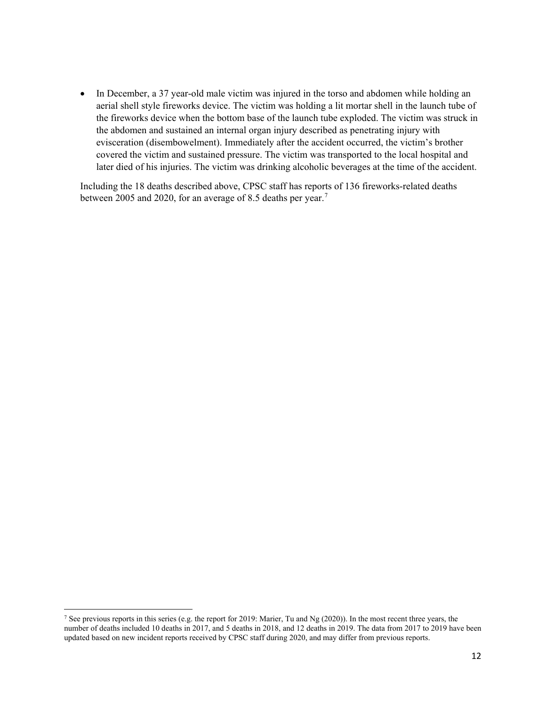• In December, a 37 year-old male victim was injured in the torso and abdomen while holding an aerial shell style fireworks device. The victim was holding a lit mortar shell in the launch tube of the fireworks device when the bottom base of the launch tube exploded. The victim was struck in the abdomen and sustained an internal organ injury described as penetrating injury with evisceration (disembowelment). Immediately after the accident occurred, the victim's brother covered the victim and sustained pressure. The victim was transported to the local hospital and later died of his injuries. The victim was drinking alcoholic beverages at the time of the accident.

Including the 18 deaths described above, CPSC staff has reports of 136 fireworks-related deaths between 2005 and 2020, for an average of 8.5 deaths per year.<sup>[7](#page-12-0)</sup>

l

<span id="page-12-0"></span><sup>&</sup>lt;sup>7</sup> See previous reports in this series (e.g. the report for 2019: Marier, Tu and Ng (2020)). In the most recent three years, the number of deaths included 10 deaths in 2017, and 5 deaths in 2018, and 12 deaths in 2019. The data from 2017 to 2019 have been updated based on new incident reports received by CPSC staff during 2020, and may differ from previous reports.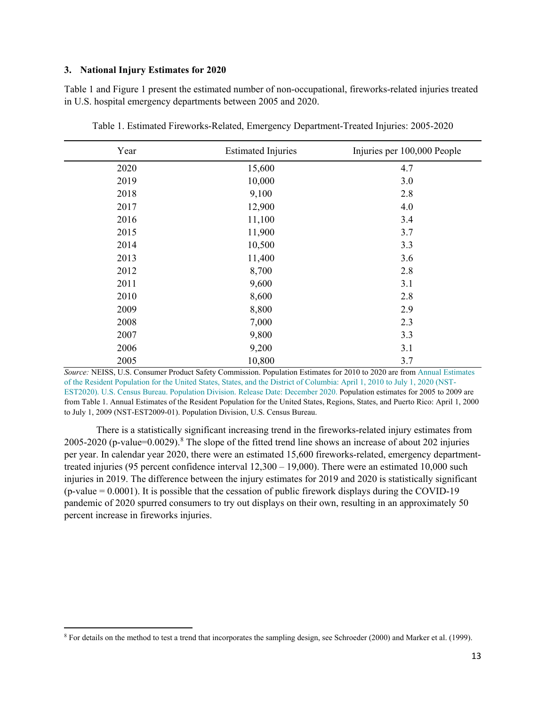## <span id="page-13-0"></span>**3. National Injury Estimates for 2020**

Table 1 and Figure 1 present the estimated number of non-occupational, fireworks-related injuries treated in U.S. hospital emergency departments between 2005 and 2020.

| Year | <b>Estimated Injuries</b> | Injuries per 100,000 People |
|------|---------------------------|-----------------------------|
| 2020 | 15,600                    | 4.7                         |
| 2019 | 10,000                    | 3.0                         |
| 2018 | 9,100                     | 2.8                         |
| 2017 | 12,900                    | 4.0                         |
| 2016 | 11,100                    | 3.4                         |
| 2015 | 11,900                    | 3.7                         |
| 2014 | 10,500                    | 3.3                         |
| 2013 | 11,400                    | 3.6                         |
| 2012 | 8,700                     | 2.8                         |
| 2011 | 9,600                     | 3.1                         |
| 2010 | 8,600                     | 2.8                         |
| 2009 | 8,800                     | 2.9                         |
| 2008 | 7,000                     | 2.3                         |
| 2007 | 9,800                     | 3.3                         |
| 2006 | 9,200                     | 3.1                         |
| 2005 | 10,800                    | 3.7                         |

Table 1. Estimated Fireworks-Related, Emergency Department-Treated Injuries: 2005-2020

*Source:* NEISS, U.S. Consumer Product Safety Commission. Population Estimates for 2010 to 2020 are fro[m Annual Estimates](https://www2.census.gov/programs-surveys/popest/datasets/2010-2020/national/totals/nst-est2020.csv)  [of the Resident Population for the United States, States, and the District of Columbia: April 1, 2010 to July 1, 2020 \(NST-](https://www2.census.gov/programs-surveys/popest/datasets/2010-2020/national/totals/nst-est2020.csv)[EST2020\). U.S. Census Bureau. Population Division. Release Date: December 2020. P](https://www2.census.gov/programs-surveys/popest/datasets/2010-2020/national/totals/nst-est2020.csv)opulation estimates for 2005 to 2009 are from Table 1. Annual Estimates of the Resident Population for the United States, Regions, States, and Puerto Rico: April 1, 2000 to July 1, 2009 (NST-EST2009-01). Population Division, U.S. Census Bureau.

There is a statistically significant increasing trend in the fireworks-related injury estimates from 2005-2020 (p-value=0.0029).<sup>[8](#page-13-1)</sup> The slope of the fitted trend line shows an increase of about 202 injuries per year. In calendar year 2020, there were an estimated 15,600 fireworks-related, emergency departmenttreated injuries (95 percent confidence interval 12,300 – 19,000). There were an estimated 10,000 such injuries in 2019. The difference between the injury estimates for 2019 and 2020 is statistically significant  $(p-value = 0.0001)$ . It is possible that the cessation of public firework displays during the COVID-19 pandemic of 2020 spurred consumers to try out displays on their own, resulting in an approximately 50 percent increase in fireworks injuries.

<span id="page-13-1"></span> $\overline{\phantom{a}}$ <sup>8</sup> For details on the method to test a trend that incorporates the sampling design, see Schroeder (2000) and Marker et al. (1999).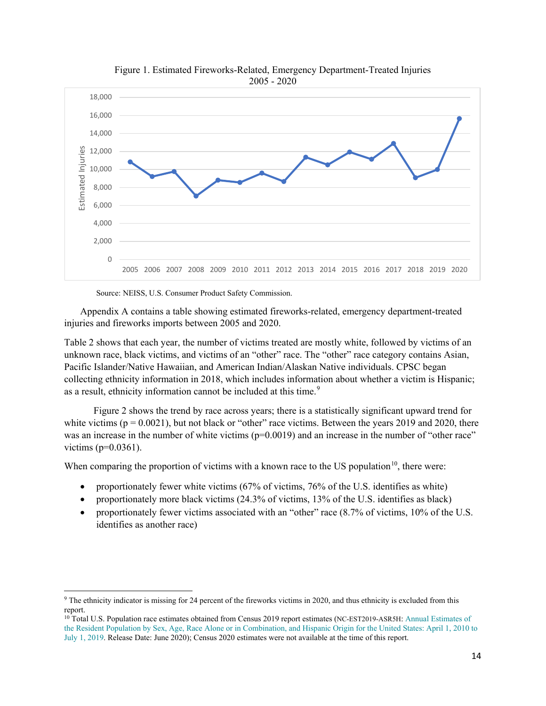<span id="page-14-0"></span>

Figure 1. Estimated Fireworks-Related, Emergency Department-Treated Injuries

Source: NEISS, U.S. Consumer Product Safety Commission.

l

Appendix A contains a table showing estimated fireworks-related, emergency department-treated injuries and fireworks imports between 2005 and 2020.

Table 2 shows that each year, the number of victims treated are mostly white, followed by victims of an unknown race, black victims, and victims of an "other" race. The "other" race category contains Asian, Pacific Islander/Native Hawaiian, and American Indian/Alaskan Native individuals. CPSC began collecting ethnicity information in 2018, which includes information about whether a victim is Hispanic; as a result, ethnicity information cannot be included at this time.<sup>[9](#page-14-1)</sup>

 Figure 2 shows the trend by race across years; there is a statistically significant upward trend for white victims ( $p = 0.0021$ ), but not black or "other" race victims. Between the years 2019 and 2020, there was an increase in the number of white victims  $(p=0.0019)$  and an increase in the number of "other race" victims ( $p=0.0361$ ).

When comparing the proportion of victims with a known race to the US population<sup>10</sup>, there were:

- proportionately fewer white victims (67% of victims, 76% of the U.S. identifies as white)
- proportionately more black victims (24.3% of victims, 13% of the U.S. identifies as black)
- proportionately fewer victims associated with an "other" race  $(8.7\%$  of victims, 10% of the U.S. identifies as another race)

<span id="page-14-1"></span><sup>9</sup> The ethnicity indicator is missing for 24 percent of the fireworks victims in 2020, and thus ethnicity is excluded from this report.

<span id="page-14-2"></span><sup>&</sup>lt;sup>10</sup> Total U.S. Population race estimates obtained from Census 2019 report estimates (NC-EST2019-ASR5H: Annual [Estimates](https://www2.census.gov/programs-surveys/popest/tables/2010-2019/national/asrh/nc-est2019-asr5h.xlsx) of the Resident Population by Sex, Age, Race Alone or in [Combination,](https://www2.census.gov/programs-surveys/popest/tables/2010-2019/national/asrh/nc-est2019-asr5h.xlsx) and Hispanic Origin for the United States: April 1, 2010 to July 1, [2019.](https://www2.census.gov/programs-surveys/popest/tables/2010-2019/national/asrh/nc-est2019-asr5h.xlsx) Release Date: June 2020); Census 2020 estimates were not available at the time of this report.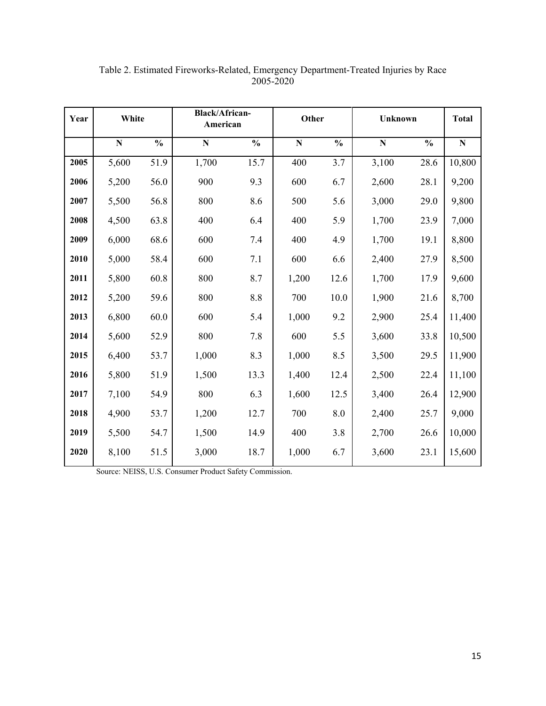| Year | White     |               |             | <b>Black/African-</b><br>American |           | Other<br><b>Unknown</b> |           |               | <b>Total</b> |
|------|-----------|---------------|-------------|-----------------------------------|-----------|-------------------------|-----------|---------------|--------------|
|      | ${\bf N}$ | $\frac{0}{0}$ | $\mathbf N$ | $\frac{0}{0}$                     | ${\bf N}$ | $\frac{0}{0}$           | ${\bf N}$ | $\frac{0}{0}$ | ${\bf N}$    |
| 2005 | 5,600     | 51.9          | 1,700       | 15.7                              | 400       | 3.7                     | 3,100     | 28.6          | 10,800       |
| 2006 | 5,200     | 56.0          | 900         | 9.3                               | 600       | 6.7                     | 2,600     | 28.1          | 9,200        |
| 2007 | 5,500     | 56.8          | 800         | 8.6                               | 500       | 5.6                     | 3,000     | 29.0          | 9,800        |
| 2008 | 4,500     | 63.8          | 400         | 6.4                               | 400       | 5.9                     | 1,700     | 23.9          | 7,000        |
| 2009 | 6,000     | 68.6          | 600         | 7.4                               | 400       | 4.9                     | 1,700     | 19.1          | 8,800        |
| 2010 | 5,000     | 58.4          | 600         | 7.1                               | 600       | 6.6                     | 2,400     | 27.9          | 8,500        |
| 2011 | 5,800     | 60.8          | 800         | 8.7                               | 1,200     | 12.6                    | 1,700     | 17.9          | 9,600        |
| 2012 | 5,200     | 59.6          | 800         | 8.8                               | 700       | 10.0                    | 1,900     | 21.6          | 8,700        |
| 2013 | 6,800     | 60.0          | 600         | 5.4                               | 1,000     | 9.2                     | 2,900     | 25.4          | 11,400       |
| 2014 | 5,600     | 52.9          | 800         | 7.8                               | 600       | 5.5                     | 3,600     | 33.8          | 10,500       |
| 2015 | 6,400     | 53.7          | 1,000       | 8.3                               | 1,000     | 8.5                     | 3,500     | 29.5          | 11,900       |
| 2016 | 5,800     | 51.9          | 1,500       | 13.3                              | 1,400     | 12.4                    | 2,500     | 22.4          | 11,100       |
| 2017 | 7,100     | 54.9          | 800         | 6.3                               | 1,600     | 12.5                    | 3,400     | 26.4          | 12,900       |
| 2018 | 4,900     | 53.7          | 1,200       | 12.7                              | 700       | 8.0                     | 2,400     | 25.7          | 9,000        |
| 2019 | 5,500     | 54.7          | 1,500       | 14.9                              | 400       | 3.8                     | 2,700     | 26.6          | 10,000       |
| 2020 | 8,100     | 51.5          | 3,000       | 18.7                              | 1,000     | 6.7                     | 3,600     | 23.1          | 15,600       |

Table 2. Estimated Fireworks-Related, Emergency Department-Treated Injuries by Race 2005-2020

Source: NEISS, U.S. Consumer Product Safety Commission.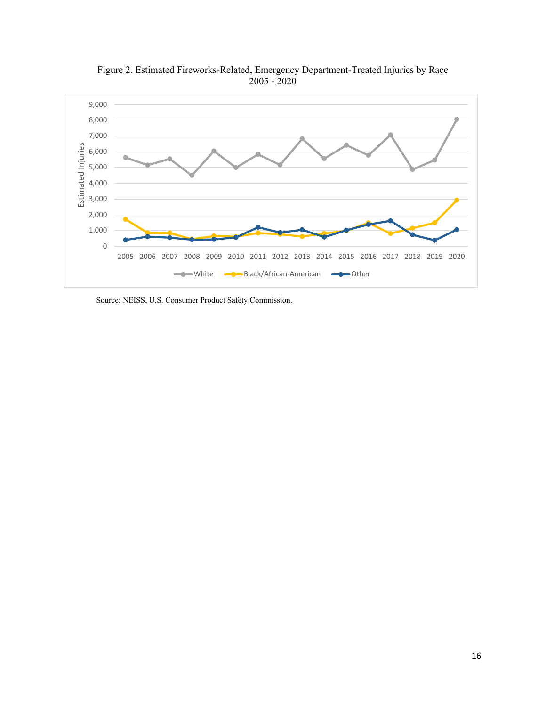

Figure 2. Estimated Fireworks-Related, Emergency Department-Treated Injuries by Race 2005 - 2020

Source: NEISS, U.S. Consumer Product Safety Commission.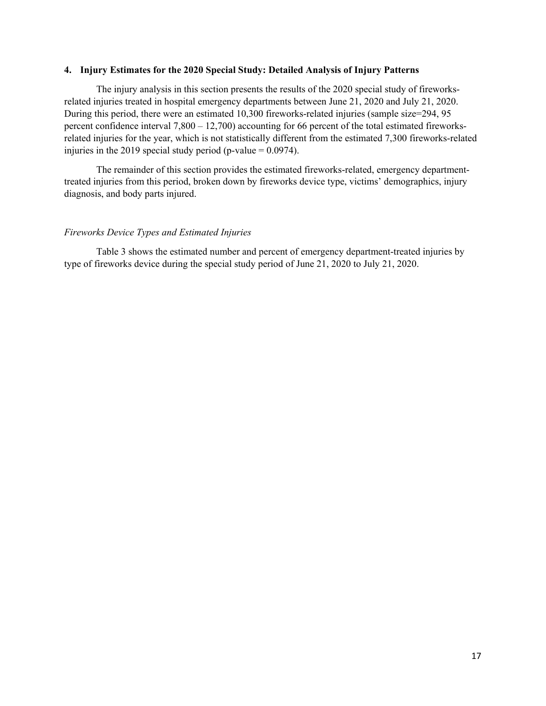#### <span id="page-17-0"></span>**4. Injury Estimates for the 2020 Special Study: Detailed Analysis of Injury Patterns**

The injury analysis in this section presents the results of the 2020 special study of fireworksrelated injuries treated in hospital emergency departments between June 21, 2020 and July 21, 2020. During this period, there were an estimated 10,300 fireworks-related injuries (sample size=294, 95 percent confidence interval 7,800 – 12,700) accounting for 66 percent of the total estimated fireworksrelated injuries for the year, which is not statistically different from the estimated 7,300 fireworks-related injuries in the 2019 special study period (p-value  $= 0.0974$ ).

The remainder of this section provides the estimated fireworks-related, emergency departmenttreated injuries from this period, broken down by fireworks device type, victims' demographics, injury diagnosis, and body parts injured.

### <span id="page-17-1"></span>*Fireworks Device Types and Estimated Injuries*

Table 3 shows the estimated number and percent of emergency department-treated injuries by type of fireworks device during the special study period of June 21, 2020 to July 21, 2020.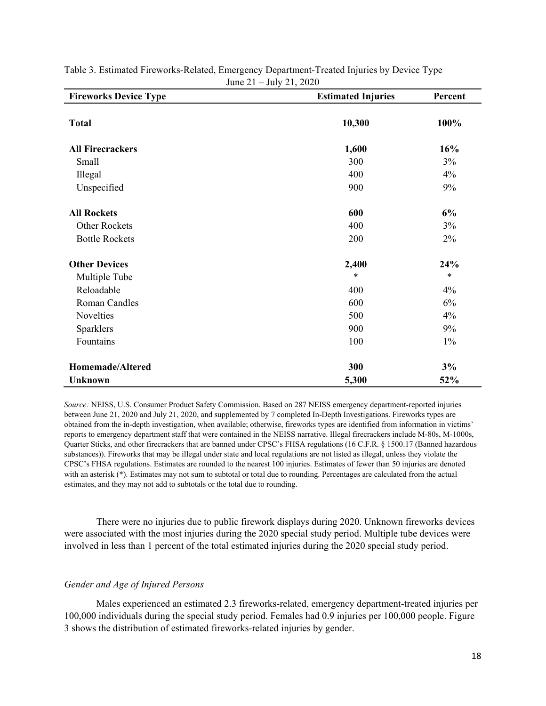| <b>Fireworks Device Type</b> | <b>Estimated Injuries</b> | Percent |
|------------------------------|---------------------------|---------|
| <b>Total</b>                 | 10,300                    | 100%    |
| <b>All Firecrackers</b>      | 1,600                     | 16%     |
| Small                        | 300                       | 3%      |
| Illegal                      | 400                       | 4%      |
| Unspecified                  | 900                       | 9%      |
| <b>All Rockets</b>           | 600                       | 6%      |
| <b>Other Rockets</b>         | 400                       | 3%      |
| <b>Bottle Rockets</b>        | 200                       | 2%      |
| <b>Other Devices</b>         | 2,400                     | 24%     |
| Multiple Tube                | $\ast$                    | $\ast$  |
| Reloadable                   | 400                       | 4%      |
| Roman Candles                | 600                       | 6%      |
| Novelties                    | 500                       | 4%      |
| Sparklers                    | 900                       | 9%      |
| Fountains                    | 100                       | $1\%$   |
| Homemade/Altered             | 300                       | 3%      |
| <b>Unknown</b>               | 5,300                     | 52%     |

## Table 3. Estimated Fireworks-Related, Emergency Department-Treated Injuries by Device Type June 21 – July 21, 2020

*Source:* NEISS, U.S. Consumer Product Safety Commission. Based on 287 NEISS emergency department-reported injuries between June 21, 2020 and July 21, 2020, and supplemented by 7 completed In-Depth Investigations. Fireworks types are obtained from the in-depth investigation, when available; otherwise, fireworks types are identified from information in victims' reports to emergency department staff that were contained in the NEISS narrative. Illegal firecrackers include M-80s, M-1000s, Quarter Sticks, and other firecrackers that are banned under CPSC's FHSA regulations (16 C.F.R. § 1500.17 (Banned hazardous substances)). Fireworks that may be illegal under state and local regulations are not listed as illegal, unless they violate the CPSC's FHSA regulations. Estimates are rounded to the nearest 100 injuries. Estimates of fewer than 50 injuries are denoted with an asterisk (\*). Estimates may not sum to subtotal or total due to rounding. Percentages are calculated from the actual estimates, and they may not add to subtotals or the total due to rounding.

There were no injuries due to public firework displays during 2020. Unknown fireworks devices were associated with the most injuries during the 2020 special study period. Multiple tube devices were involved in less than 1 percent of the total estimated injuries during the 2020 special study period.

## <span id="page-18-0"></span>*Gender and Age of Injured Persons*

Males experienced an estimated 2.3 fireworks-related, emergency department-treated injuries per 100,000 individuals during the special study period. Females had 0.9 injuries per 100,000 people. Figure 3 shows the distribution of estimated fireworks-related injuries by gender.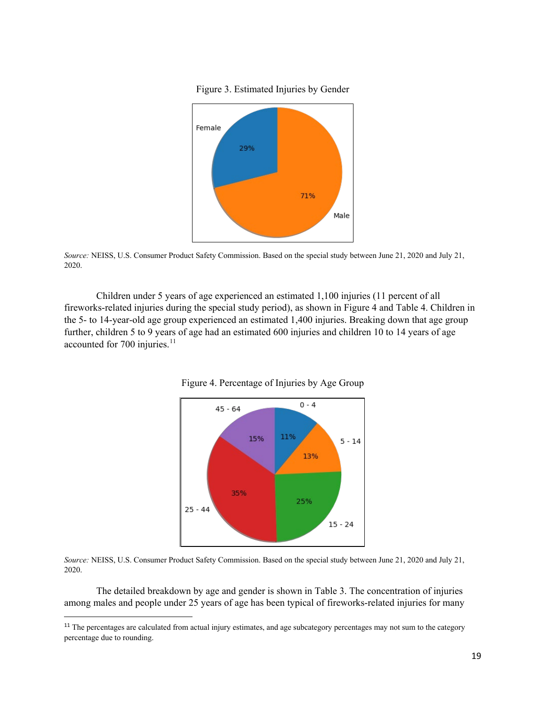Figure 3. Estimated Injuries by Gender

<span id="page-19-0"></span>

*Source:* NEISS, U.S. Consumer Product Safety Commission. Based on the special study between June 21, 2020 and July 21, 2020.

<span id="page-19-1"></span>Children under 5 years of age experienced an estimated 1,100 injuries (11 percent of all fireworks-related injuries during the special study period), as shown in Figure 4 and Table 4. Children in the 5- to 14-year-old age group experienced an estimated 1,400 injuries. Breaking down that age group further, children 5 to 9 years of age had an estimated 600 injuries and children 10 to 14 years of age accounted for 700 injuries.<sup>[11](#page-19-2)</sup>





*Source:* NEISS, U.S. Consumer Product Safety Commission. Based on the special study between June 21, 2020 and July 21, 2020.

The detailed breakdown by age and gender is shown in Table 3. The concentration of injuries among males and people under 25 years of age has been typical of fireworks-related injuries for many

<span id="page-19-2"></span><sup>&</sup>lt;sup>11</sup> The percentages are calculated from actual injury estimates, and age subcategory percentages may not sum to the category percentage due to rounding.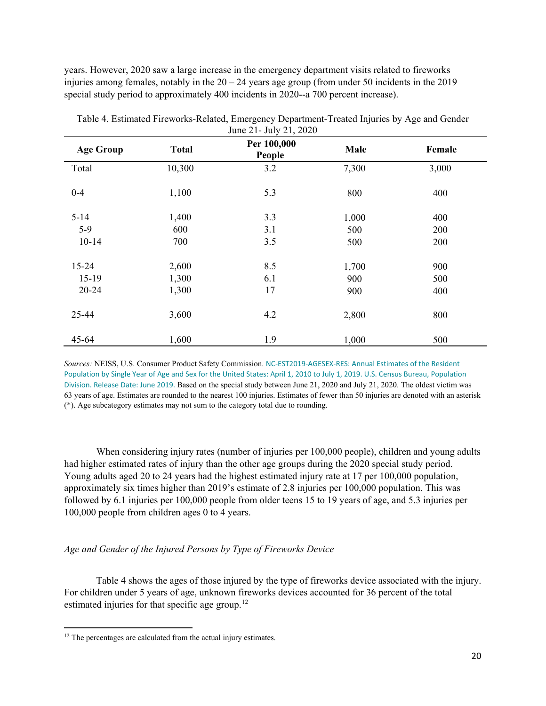years. However, 2020 saw a large increase in the emergency department visits related to fireworks injuries among females, notably in the  $20 - 24$  years age group (from under 50 incidents in the 2019 special study period to approximately 400 incidents in 2020--a 700 percent increase).

| <b>Age Group</b> | <b>Total</b> | Per 100,000<br>People | Male  | Female |
|------------------|--------------|-----------------------|-------|--------|
| Total            | 10,300       | 3.2                   | 7,300 | 3,000  |
| $0 - 4$          | 1,100        | 5.3                   | 800   | 400    |
| $5 - 14$         | 1,400        | 3.3                   | 1,000 | 400    |
| $5-9$            | 600          | 3.1                   | 500   | 200    |
| $10 - 14$        | 700          | 3.5                   | 500   | 200    |
| $15 - 24$        | 2,600        | 8.5                   | 1,700 | 900    |
| $15-19$          | 1,300        | 6.1                   | 900   | 500    |
| 20-24            | 1,300        | 17                    | 900   | 400    |
| 25-44            | 3,600        | 4.2                   | 2,800 | 800    |
| $45 - 64$        | 1,600        | 1.9                   | 1,000 | 500    |

Table 4. Estimated Fireworks-Related, Emergency Department-Treated Injuries by Age and Gender June 21- July 21, 2020

*Sources:* NEISS, U.S. Consumer Product Safety Commission. [NC-EST2019-AGESEX-RES: Annual Estimates of the Resident](https://www2.census.gov/programs-surveys/popest/technical-documentation/file-layouts/2010-2019/nc-est2019-agesex-res.csv)  [Population by Single Year of Age and Sex for the United States: April 1, 2010 to July 1, 2019. U.S. Census Bureau, Population](https://www2.census.gov/programs-surveys/popest/technical-documentation/file-layouts/2010-2019/nc-est2019-agesex-res.csv)  [Division. Release Date: June 2019.](https://www2.census.gov/programs-surveys/popest/technical-documentation/file-layouts/2010-2019/nc-est2019-agesex-res.csv) Based on the special study between June 21, 2020 and July 21, 2020. The oldest victim was 63 years of age. Estimates are rounded to the nearest 100 injuries. Estimates of fewer than 50 injuries are denoted with an asterisk (\*). Age subcategory estimates may not sum to the category total due to rounding.

When considering injury rates (number of injuries per 100,000 people), children and young adults had higher estimated rates of injury than the other age groups during the 2020 special study period. Young adults aged 20 to 24 years had the highest estimated injury rate at 17 per 100,000 population, approximately six times higher than 2019's estimate of 2.8 injuries per 100,000 population. This was followed by 6.1 injuries per 100,000 people from older teens 15 to 19 years of age, and 5.3 injuries per 100,000 people from children ages 0 to 4 years.

# <span id="page-20-0"></span>*Age and Gender of the Injured Persons by Type of Fireworks Device*

Table 4 shows the ages of those injured by the type of fireworks device associated with the injury. For children under 5 years of age, unknown fireworks devices accounted for 36 percent of the total estimated injuries for that specific age group.<sup>[12](#page-20-1)</sup>

<span id="page-20-1"></span> $\overline{\phantom{a}}$  $12$  The percentages are calculated from the actual injury estimates.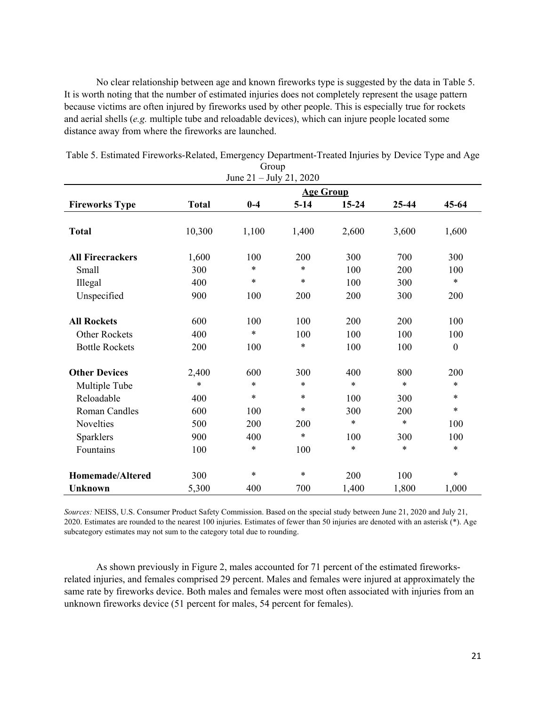No clear relationship between age and known fireworks type is suggested by the data in Table 5. It is worth noting that the number of estimated injuries does not completely represent the usage pattern because victims are often injured by fireworks used by other people. This is especially true for rockets and aerial shells (*e.g.* multiple tube and reloadable devices), which can injure people located some distance away from where the fireworks are launched.

| June $21 -$ July $21, 2020$ |              |        |                  |           |        |                  |
|-----------------------------|--------------|--------|------------------|-----------|--------|------------------|
|                             |              |        | <b>Age Group</b> |           |        |                  |
| <b>Fireworks Type</b>       | <b>Total</b> | $0-4$  | $5-14$           | $15 - 24$ | 25-44  | $45 - 64$        |
|                             |              |        |                  |           |        |                  |
| <b>Total</b>                | 10,300       | 1,100  | 1,400            | 2,600     | 3,600  | 1,600            |
|                             |              |        |                  |           |        |                  |
| <b>All Firecrackers</b>     | 1,600        | 100    | 200              | 300       | 700    | 300              |
| Small                       | 300          | $\ast$ | $\ast$           | 100       | 200    | 100              |
| Illegal                     | 400          | $\ast$ | $\ast$           | 100       | 300    | $\ast$           |
| Unspecified                 | 900          | 100    | 200              | 200       | 300    | 200              |
|                             |              |        |                  |           |        |                  |
| <b>All Rockets</b>          | 600          | 100    | 100              | 200       | 200    | 100              |
| <b>Other Rockets</b>        | 400          | $\ast$ | 100              | 100       | 100    | 100              |
| <b>Bottle Rockets</b>       | 200          | 100    | $\ast$           | 100       | 100    | $\boldsymbol{0}$ |
| <b>Other Devices</b>        | 2,400        | 600    | 300              | 400       | 800    | 200              |
| Multiple Tube               | $\ast$       | $\ast$ | $\ast$           | $\ast$    | $\ast$ | $\ast$           |
| Reloadable                  | 400          | $\ast$ | $\ast$           | 100       | 300    | $\ast$           |
| Roman Candles               | 600          | 100    | $\ast$           | 300       | 200    | $\ast$           |
| Novelties                   | 500          | 200    | 200              | $\ast$    | $\ast$ | 100              |
| Sparklers                   | 900          | 400    | $\ast$           | 100       | 300    | 100              |
| Fountains                   | 100          | $\ast$ | 100              | $\ast$    | $\ast$ | $\ast$           |
| <b>Homemade/Altered</b>     | 300          | $\ast$ | $\ast$           | 200       | 100    | $\ast$           |
| <b>Unknown</b>              | 5,300        | 400    | 700              | 1,400     | 1,800  | 1,000            |
|                             |              |        |                  |           |        |                  |

Table 5. Estimated Fireworks-Related, Emergency Department-Treated Injuries by Device Type and Age Group

*Sources:* NEISS, U.S. Consumer Product Safety Commission. Based on the special study between June 21, 2020 and July 21, 2020. Estimates are rounded to the nearest 100 injuries. Estimates of fewer than 50 injuries are denoted with an asterisk (\*). Age subcategory estimates may not sum to the category total due to rounding.

As shown previously in Figure 2, males accounted for 71 percent of the estimated fireworksrelated injuries, and females comprised 29 percent. Males and females were injured at approximately the same rate by fireworks device. Both males and females were most often associated with injuries from an unknown fireworks device (51 percent for males, 54 percent for females).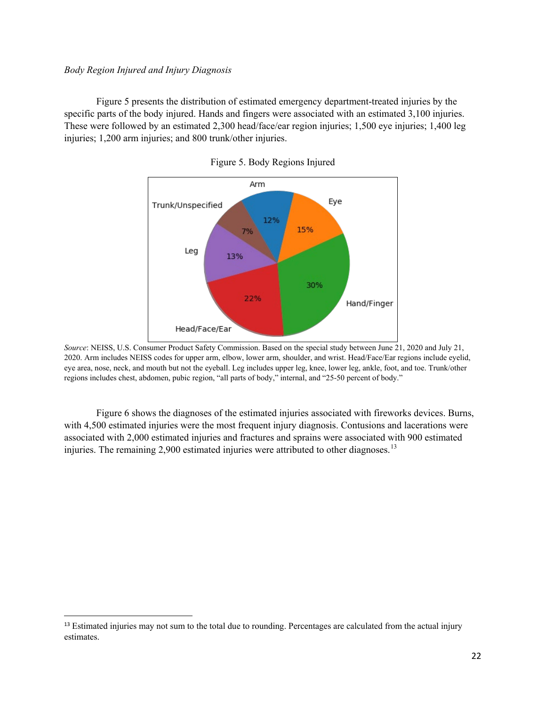## <span id="page-22-0"></span>*Body Region Injured and Injury Diagnosis*

<span id="page-22-1"></span>Figure 5 presents the distribution of estimated emergency department-treated injuries by the specific parts of the body injured. Hands and fingers were associated with an estimated 3,100 injuries. These were followed by an estimated 2,300 head/face/ear region injuries; 1,500 eye injuries; 1,400 leg injuries; 1,200 arm injuries; and 800 trunk/other injuries.



Figure 5. Body Regions Injured

Figure 6 shows the diagnoses of the estimated injuries associated with fireworks devices. Burns, with 4,500 estimated injuries were the most frequent injury diagnosis. Contusions and lacerations were associated with 2,000 estimated injuries and fractures and sprains were associated with 900 estimated injuries. The remaining 2,900 estimated injuries were attributed to other diagnoses.<sup>[13](#page-22-2)</sup>

*Source*: NEISS, U.S. Consumer Product Safety Commission. Based on the special study between June 21, 2020 and July 21, 2020. Arm includes NEISS codes for upper arm, elbow, lower arm, shoulder, and wrist. Head/Face/Ear regions include eyelid, eye area, nose, neck, and mouth but not the eyeball. Leg includes upper leg, knee, lower leg, ankle, foot, and toe. Trunk/other regions includes chest, abdomen, pubic region, "all parts of body," internal, and "25-50 percent of body."

<span id="page-22-2"></span><sup>&</sup>lt;sup>13</sup> Estimated injuries may not sum to the total due to rounding. Percentages are calculated from the actual injury estimates.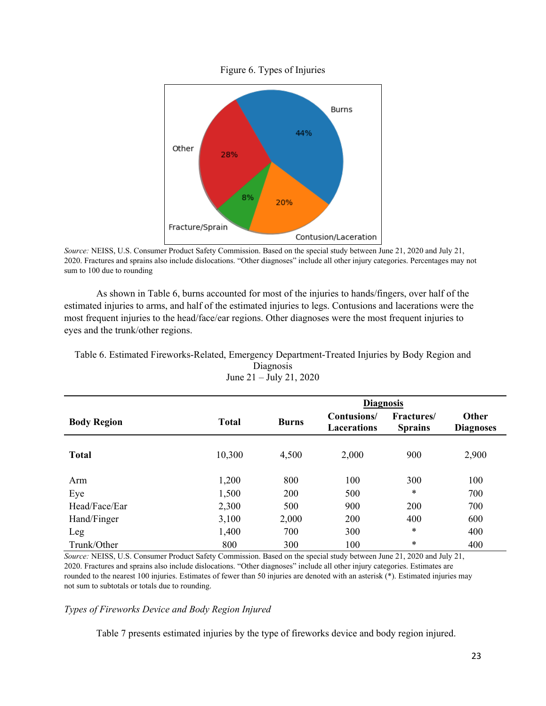<span id="page-23-0"></span>

Figure 6. Types of Injuries

*Source:* NEISS, U.S. Consumer Product Safety Commission. Based on the special study between June 21, 2020 and July 21, 2020. Fractures and sprains also include dislocations. "Other diagnoses" include all other injury categories. Percentages may not sum to 100 due to rounding

As shown in Table 6, burns accounted for most of the injuries to hands/fingers, over half of the estimated injuries to arms, and half of the estimated injuries to legs. Contusions and lacerations were the most frequent injuries to the head/face/ear regions. Other diagnoses were the most frequent injuries to eyes and the trunk/other regions.

| Table 6. Estimated Fireworks-Related, Emergency Department-Treated Injuries by Body Region and |  |  |  |
|------------------------------------------------------------------------------------------------|--|--|--|
|------------------------------------------------------------------------------------------------|--|--|--|

| JUIIC $\angle 1 =$ JUIY $\angle 1$ , $\angle 0 \angle 0$ |              |                  |                                   |                                      |                                  |  |  |  |  |
|----------------------------------------------------------|--------------|------------------|-----------------------------------|--------------------------------------|----------------------------------|--|--|--|--|
|                                                          |              | <b>Diagnosis</b> |                                   |                                      |                                  |  |  |  |  |
| <b>Body Region</b>                                       | <b>Total</b> | <b>Burns</b>     | Contusions/<br><b>Lacerations</b> | <b>Fractures</b> /<br><b>Sprains</b> | <b>Other</b><br><b>Diagnoses</b> |  |  |  |  |
| <b>Total</b>                                             | 10,300       | 4,500            | 2,000                             | 900                                  | 2,900                            |  |  |  |  |
| Arm                                                      | 1,200        | 800              | 100                               | 300                                  | 100                              |  |  |  |  |
| Eye                                                      | 1,500        | 200              | 500                               | $\ast$                               | 700                              |  |  |  |  |
| Head/Face/Ear                                            | 2,300        | 500              | 900                               | 200                                  | 700                              |  |  |  |  |
| Hand/Finger                                              | 3,100        | 2,000            | 200                               | 400                                  | 600                              |  |  |  |  |
| Leg                                                      | 1,400        | 700              | 300                               | $\ast$                               | 400                              |  |  |  |  |
| Trunk/Other                                              | 800          | 300              | 100                               | $\ast$                               | 400                              |  |  |  |  |

Diagnosis  $J_{\text{upo}}$  21  $\bar{J}_{\text{up}}$   $21, 2020$ 

*Source:* NEISS, U.S. Consumer Product Safety Commission. Based on the special study between June 21, 2020 and July 21, 2020. Fractures and sprains also include dislocations. "Other diagnoses" include all other injury categories. Estimates are rounded to the nearest 100 injuries. Estimates of fewer than 50 injuries are denoted with an asterisk (\*). Estimated injuries may not sum to subtotals or totals due to rounding.

### *Types of Fireworks Device and Body Region Injured*

Table 7 presents estimated injuries by the type of fireworks device and body region injured.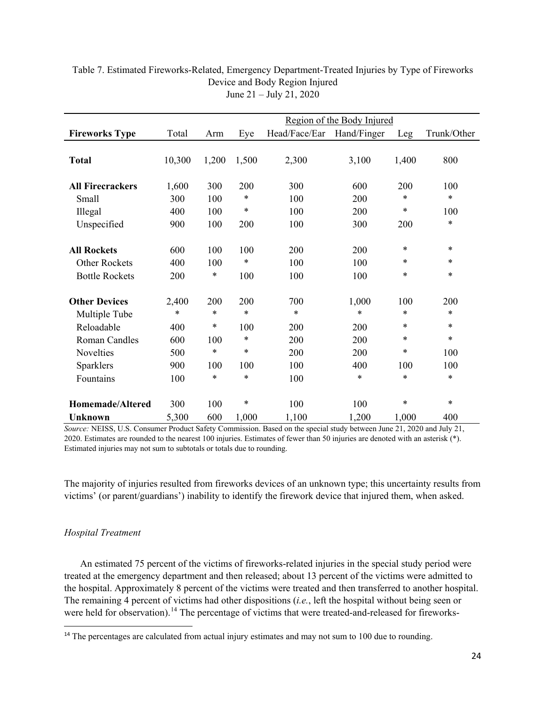|                                                                     | Region of the Body Injured |                      |                      |                   |                   |                       |                            |
|---------------------------------------------------------------------|----------------------------|----------------------|----------------------|-------------------|-------------------|-----------------------|----------------------------|
| <b>Fireworks Type</b>                                               | Total                      | Arm                  | Eye                  | Head/Face/Ear     | Hand/Finger       | Leg                   | Trunk/Other                |
| <b>Total</b>                                                        | 10,300                     | 1,200                | 1,500                | 2,300             | 3,100             | 1,400                 | 800                        |
| <b>All Firecrackers</b>                                             | 1,600                      | 300                  | 200                  | 300               | 600               | 200                   | 100                        |
| Small                                                               | 300                        | 100                  | $\ast$               | 100               | 200               | $\ast$                | $\ast$                     |
| Illegal                                                             | 400                        | 100                  | $\ast$               | 100               | 200               | *                     | 100                        |
| Unspecified                                                         | 900                        | 100                  | 200                  | 100               | 300               | 200                   | $\ast$                     |
| <b>All Rockets</b><br><b>Other Rockets</b><br><b>Bottle Rockets</b> | 600<br>400<br>200          | 100<br>100<br>$\ast$ | 100<br>$\ast$<br>100 | 200<br>100<br>100 | 200<br>100<br>100 | $\ast$<br>*<br>$\ast$ | $\ast$<br>$\ast$<br>$\ast$ |
| <b>Other Devices</b>                                                | 2,400                      | 200                  | 200                  | 700               | 1,000             | 100                   | 200                        |
| Multiple Tube                                                       | $\ast$                     | *                    | $\ast$               | $\ast$            | *                 | *                     | $\ast$                     |
| Reloadable                                                          | 400                        | *                    | 100                  | 200               | 200               | $\ast$                | $\ast$                     |
| <b>Roman Candles</b>                                                | 600                        | 100                  | $\ast$               | 200               | 200               | *                     | $\ast$                     |
| Novelties                                                           | 500                        | $\ast$               | $\ast$               | 200               | 200               | *                     | 100                        |
| Sparklers                                                           | 900                        | 100                  | 100                  | 100               | 400               | 100                   | 100                        |
| Fountains                                                           | 100                        | *                    | $\ast$               | 100               | *                 | $\ast$                | $\ast$                     |
| Homemade/Altered<br><b>Unknown</b>                                  | 300<br>5,300               | 100<br>600           | $\ast$<br>1,000      | 100<br>1,100      | 100<br>1,200      | $\ast$<br>1,000       | $\ast$<br>400              |

## Table 7. Estimated Fireworks-Related, Emergency Department-Treated Injuries by Type of Fireworks Device and Body Region Injured June 21 – July 21, 2020

*Source:* NEISS, U.S. Consumer Product Safety Commission. Based on the special study between June 21, 2020 and July 21, 2020. Estimates are rounded to the nearest 100 injuries. Estimates of fewer than 50 injuries are denoted with an asterisk (\*). Estimated injuries may not sum to subtotals or totals due to rounding.

The majority of injuries resulted from fireworks devices of an unknown type; this uncertainty results from victims' (or parent/guardians') inability to identify the firework device that injured them, when asked.

## <span id="page-24-0"></span>*Hospital Treatment*

An estimated 75 percent of the victims of fireworks-related injuries in the special study period were treated at the emergency department and then released; about 13 percent of the victims were admitted to the hospital. Approximately 8 percent of the victims were treated and then transferred to another hospital. The remaining 4 percent of victims had other dispositions (*i.e.*, left the hospital without being seen or were held for observation).<sup>[14](#page-24-1)</sup> The percentage of victims that were treated-and-released for fireworks-

<span id="page-24-1"></span><sup>&</sup>lt;sup>14</sup> The percentages are calculated from actual injury estimates and may not sum to 100 due to rounding.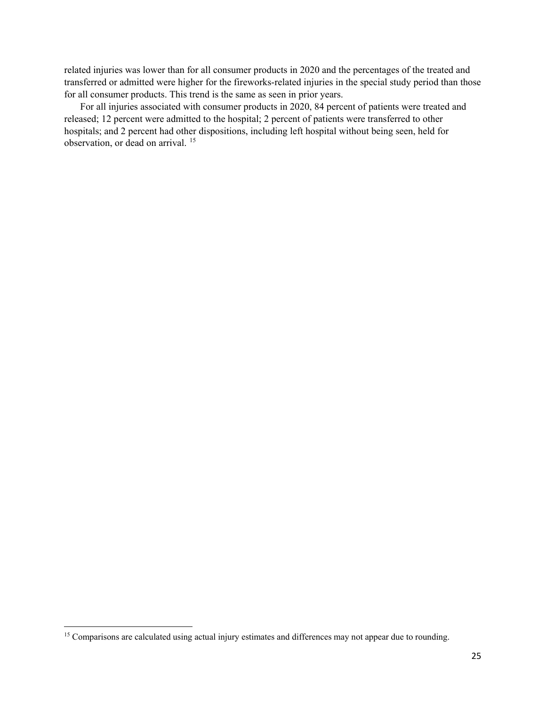related injuries was lower than for all consumer products in 2020 and the percentages of the treated and transferred or admitted were higher for the fireworks-related injuries in the special study period than those for all consumer products. This trend is the same as seen in prior years.

For all injuries associated with consumer products in 2020, 84 percent of patients were treated and released; 12 percent were admitted to the hospital; 2 percent of patients were transferred to other hospitals; and 2 percent had other dispositions, including left hospital without being seen, held for observation, or dead on arrival. [15](#page-25-0)

l

<span id="page-25-0"></span><sup>&</sup>lt;sup>15</sup> Comparisons are calculated using actual injury estimates and differences may not appear due to rounding.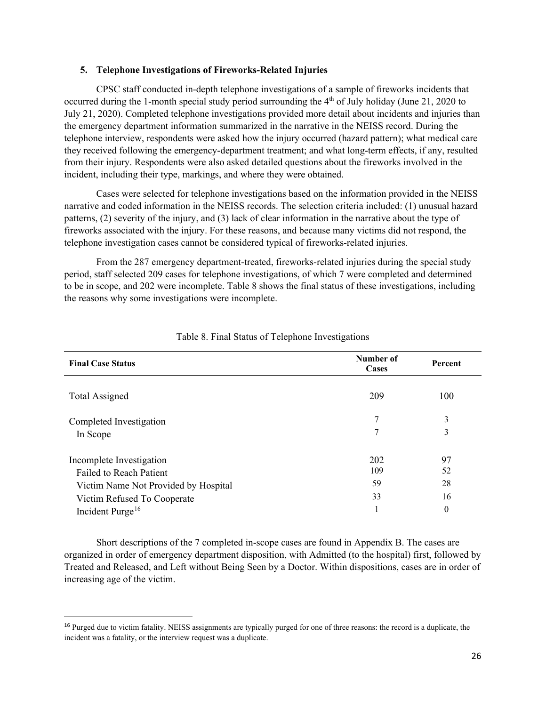#### <span id="page-26-0"></span>**5. Telephone Investigations of Fireworks-Related Injuries**

CPSC staff conducted in-depth telephone investigations of a sample of fireworks incidents that occurred during the 1-month special study period surrounding the 4<sup>th</sup> of July holiday (June 21, 2020 to July 21, 2020). Completed telephone investigations provided more detail about incidents and injuries than the emergency department information summarized in the narrative in the NEISS record. During the telephone interview, respondents were asked how the injury occurred (hazard pattern); what medical care they received following the emergency-department treatment; and what long-term effects, if any, resulted from their injury. Respondents were also asked detailed questions about the fireworks involved in the incident, including their type, markings, and where they were obtained.

Cases were selected for telephone investigations based on the information provided in the NEISS narrative and coded information in the NEISS records. The selection criteria included: (1) unusual hazard patterns, (2) severity of the injury, and (3) lack of clear information in the narrative about the type of fireworks associated with the injury. For these reasons, and because many victims did not respond, the telephone investigation cases cannot be considered typical of fireworks-related injuries.

From the 287 emergency department-treated, fireworks-related injuries during the special study period, staff selected 209 cases for telephone investigations, of which 7 were completed and determined to be in scope, and 202 were incomplete. Table 8 shows the final status of these investigations, including the reasons why some investigations were incomplete.

| <b>Final Case Status</b>                                                                            | Number of<br>Cases | Percent              |
|-----------------------------------------------------------------------------------------------------|--------------------|----------------------|
| <b>Total Assigned</b>                                                                               | 209                | 100                  |
| Completed Investigation<br>In Scope                                                                 | 7<br>7             | 3<br>3               |
| Incomplete Investigation<br><b>Failed to Reach Patient</b>                                          | 202<br>109         | 97<br>52             |
| Victim Name Not Provided by Hospital<br>Victim Refused To Cooperate<br>Incident Purge <sup>16</sup> | 59<br>33           | 28<br>16<br>$\theta$ |

## Table 8. Final Status of Telephone Investigations

Short descriptions of the 7 completed in-scope cases are found in Appendix B. The cases are organized in order of emergency department disposition, with Admitted (to the hospital) first, followed by Treated and Released, and Left without Being Seen by a Doctor. Within dispositions, cases are in order of increasing age of the victim.

<span id="page-26-1"></span><sup>&</sup>lt;sup>16</sup> Purged due to victim fatality. NEISS assignments are typically purged for one of three reasons: the record is a duplicate, the incident was a fatality, or the interview request was a duplicate.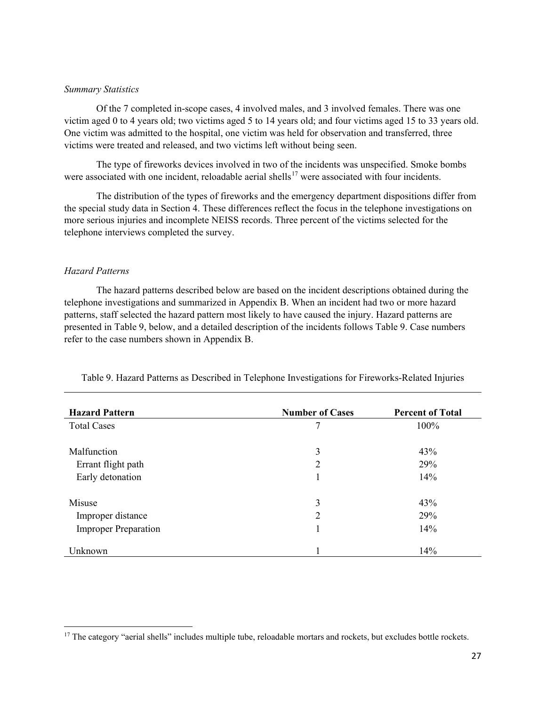## <span id="page-27-0"></span>*Summary Statistics*

Of the 7 completed in-scope cases, 4 involved males, and 3 involved females. There was one victim aged 0 to 4 years old; two victims aged 5 to 14 years old; and four victims aged 15 to 33 years old. One victim was admitted to the hospital, one victim was held for observation and transferred, three victims were treated and released, and two victims left without being seen.

The type of fireworks devices involved in two of the incidents was unspecified. Smoke bombs were associated with one incident, reloadable aerial shells<sup>[17](#page-27-2)</sup> were associated with four incidents.

The distribution of the types of fireworks and the emergency department dispositions differ from the special study data in Section 4. These differences reflect the focus in the telephone investigations on more serious injuries and incomplete NEISS records. Three percent of the victims selected for the telephone interviews completed the survey.

## <span id="page-27-1"></span>*Hazard Patterns*

l

The hazard patterns described below are based on the incident descriptions obtained during the telephone investigations and summarized in Appendix B. When an incident had two or more hazard patterns, staff selected the hazard pattern most likely to have caused the injury. Hazard patterns are presented in Table 9, below, and a detailed description of the incidents follows Table 9. Case numbers refer to the case numbers shown in Appendix B.

| <b>Hazard Pattern</b>       | <b>Number of Cases</b> | <b>Percent of Total</b> |  |  |
|-----------------------------|------------------------|-------------------------|--|--|
| <b>Total Cases</b>          | 7                      | 100%                    |  |  |
|                             |                        |                         |  |  |
| Malfunction                 | 3                      | 43%                     |  |  |
| Errant flight path          | 2                      | 29%                     |  |  |
| Early detonation            |                        | 14%                     |  |  |
| Misuse                      | 3                      | 43%                     |  |  |
|                             |                        |                         |  |  |
| Improper distance           | $\overline{2}$         | 29%                     |  |  |
| <b>Improper Preparation</b> |                        | 14%                     |  |  |
| Unknown                     |                        | 14%                     |  |  |

Table 9. Hazard Patterns as Described in Telephone Investigations for Fireworks-Related Injuries

<span id="page-27-2"></span><sup>&</sup>lt;sup>17</sup> The category "aerial shells" includes multiple tube, reloadable mortars and rockets, but excludes bottle rockets.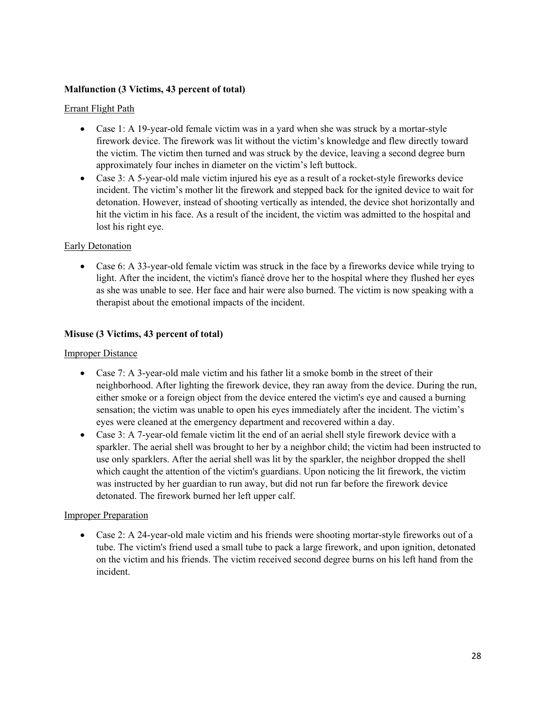# **Malfunction (3 Victims, 43 percent of total)**

## Errant Flight Path

- Case 1: A 19-year-old female victim was in a yard when she was struck by a mortar-style firework device. The firework was lit without the victim's knowledge and flew directly toward the victim. The victim then turned and was struck by the device, leaving a second degree burn approximately four inches in diameter on the victim's left buttock.
- Case 3: A 5-year-old male victim injured his eye as a result of a rocket-style fireworks device incident. The victim's mother lit the firework and stepped back for the ignited device to wait for detonation. However, instead of shooting vertically as intended, the device shot horizontally and hit the victim in his face. As a result of the incident, the victim was admitted to the hospital and lost his right eye.

# Early Detonation

• Case 6: A 33-year-old female victim was struck in the face by a fireworks device while trying to light. After the incident, the victim's fiancé drove her to the hospital where they flushed her eyes as she was unable to see. Her face and hair were also burned. The victim is now speaking with a therapist about the emotional impacts of the incident.

# **Misuse (3 Victims, 43 percent of total)**

## **Improper Distance**

- Case 7: A 3-year-old male victim and his father lit a smoke bomb in the street of their neighborhood. After lighting the firework device, they ran away from the device. During the run, either smoke or a foreign object from the device entered the victim's eye and caused a burning sensation; the victim was unable to open his eyes immediately after the incident. The victim's eyes were cleaned at the emergency department and recovered within a day.
- Case 3: A 7-year-old female victim lit the end of an aerial shell style firework device with a sparkler. The aerial shell was brought to her by a neighbor child; the victim had been instructed to use only sparklers. After the aerial shell was lit by the sparkler, the neighbor dropped the shell which caught the attention of the victim's guardians. Upon noticing the lit firework, the victim was instructed by her guardian to run away, but did not run far before the firework device detonated. The firework burned her left upper calf.

## Improper Preparation

• Case 2: A 24-year-old male victim and his friends were shooting mortar-style fireworks out of a tube. The victim's friend used a small tube to pack a large firework, and upon ignition, detonated on the victim and his friends. The victim received second degree burns on his left hand from the incident.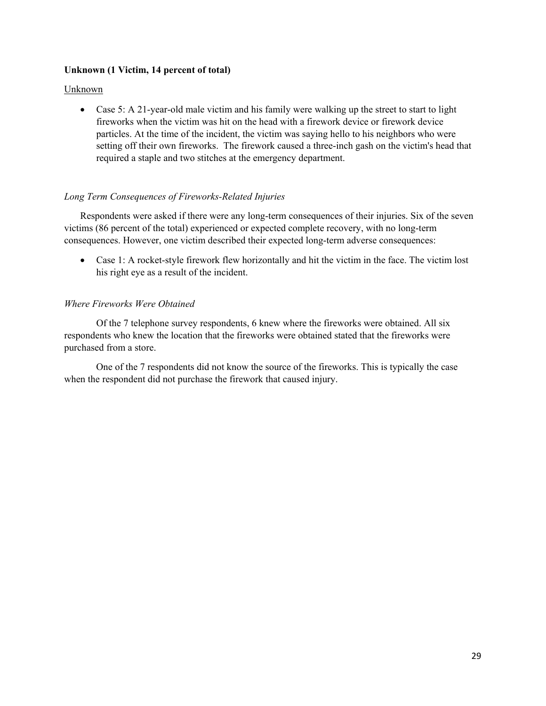## **Unknown (1 Victim, 14 percent of total)**

## Unknown

• Case 5: A 21-year-old male victim and his family were walking up the street to start to light fireworks when the victim was hit on the head with a firework device or firework device particles. At the time of the incident, the victim was saying hello to his neighbors who were setting off their own fireworks. The firework caused a three-inch gash on the victim's head that required a staple and two stitches at the emergency department.

# <span id="page-29-0"></span>*Long Term Consequences of Fireworks-Related Injuries*

Respondents were asked if there were any long-term consequences of their injuries. Six of the seven victims (86 percent of the total) experienced or expected complete recovery, with no long-term consequences. However, one victim described their expected long-term adverse consequences:

• Case 1: A rocket-style firework flew horizontally and hit the victim in the face. The victim lost his right eye as a result of the incident.

# <span id="page-29-1"></span>*Where Fireworks Were Obtained*

Of the 7 telephone survey respondents, 6 knew where the fireworks were obtained. All six respondents who knew the location that the fireworks were obtained stated that the fireworks were purchased from a store.

One of the 7 respondents did not know the source of the fireworks. This is typically the case when the respondent did not purchase the firework that caused injury.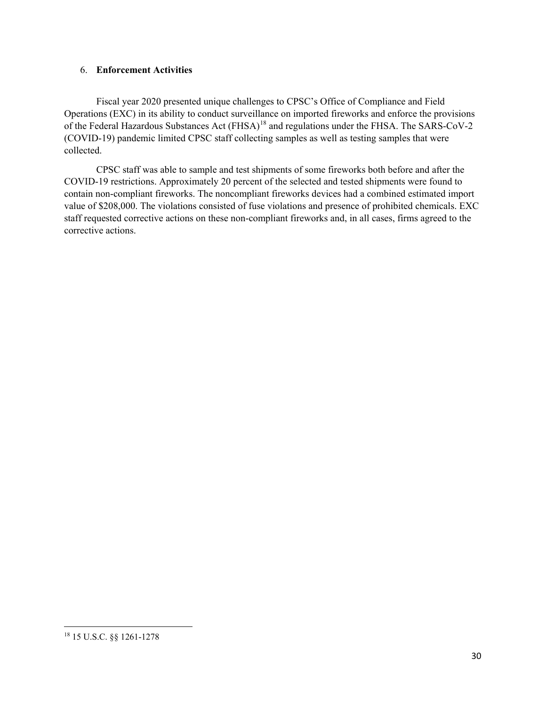## 6. **Enforcement Activities**

Fiscal year 2020 presented unique challenges to CPSC's Office of Compliance and Field Operations (EXC) in its ability to conduct surveillance on imported fireworks and enforce the provisions of the Federal Hazardous Substances Act (FHSA)[18](#page-30-0) and regulations under the FHSA. The SARS-CoV-2 (COVID-19) pandemic limited CPSC staff collecting samples as well as testing samples that were collected.

CPSC staff was able to sample and test shipments of some fireworks both before and after the COVID-19 restrictions. Approximately 20 percent of the selected and tested shipments were found to contain non-compliant fireworks. The noncompliant fireworks devices had a combined estimated import value of \$208,000. The violations consisted of fuse violations and presence of prohibited chemicals. EXC staff requested corrective actions on these non-compliant fireworks and, in all cases, firms agreed to the corrective actions.

<span id="page-30-0"></span>l <sup>18</sup> 15 U.S.C. §§ 1261-1278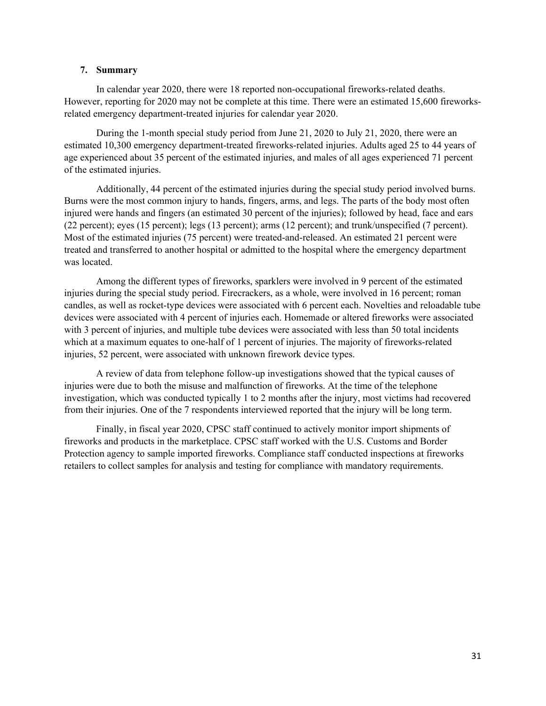## <span id="page-31-0"></span>**7. Summary**

In calendar year 2020, there were 18 reported non-occupational fireworks-related deaths. However, reporting for 2020 may not be complete at this time. There were an estimated 15,600 fireworksrelated emergency department-treated injuries for calendar year 2020.

During the 1-month special study period from June 21, 2020 to July 21, 2020, there were an estimated 10,300 emergency department-treated fireworks-related injuries. Adults aged 25 to 44 years of age experienced about 35 percent of the estimated injuries, and males of all ages experienced 71 percent of the estimated injuries.

Additionally, 44 percent of the estimated injuries during the special study period involved burns. Burns were the most common injury to hands, fingers, arms, and legs. The parts of the body most often injured were hands and fingers (an estimated 30 percent of the injuries); followed by head, face and ears (22 percent); eyes (15 percent); legs (13 percent); arms (12 percent); and trunk/unspecified (7 percent). Most of the estimated injuries (75 percent) were treated-and-released. An estimated 21 percent were treated and transferred to another hospital or admitted to the hospital where the emergency department was located.

Among the different types of fireworks, sparklers were involved in 9 percent of the estimated injuries during the special study period. Firecrackers, as a whole, were involved in 16 percent; roman candles, as well as rocket-type devices were associated with 6 percent each. Novelties and reloadable tube devices were associated with 4 percent of injuries each. Homemade or altered fireworks were associated with 3 percent of injuries, and multiple tube devices were associated with less than 50 total incidents which at a maximum equates to one-half of 1 percent of injuries. The majority of fireworks-related injuries, 52 percent, were associated with unknown firework device types.

A review of data from telephone follow-up investigations showed that the typical causes of injuries were due to both the misuse and malfunction of fireworks. At the time of the telephone investigation, which was conducted typically 1 to 2 months after the injury, most victims had recovered from their injuries. One of the 7 respondents interviewed reported that the injury will be long term.

Finally, in fiscal year 2020, CPSC staff continued to actively monitor import shipments of fireworks and products in the marketplace. CPSC staff worked with the U.S. Customs and Border Protection agency to sample imported fireworks. Compliance staff conducted inspections at fireworks retailers to collect samples for analysis and testing for compliance with mandatory requirements.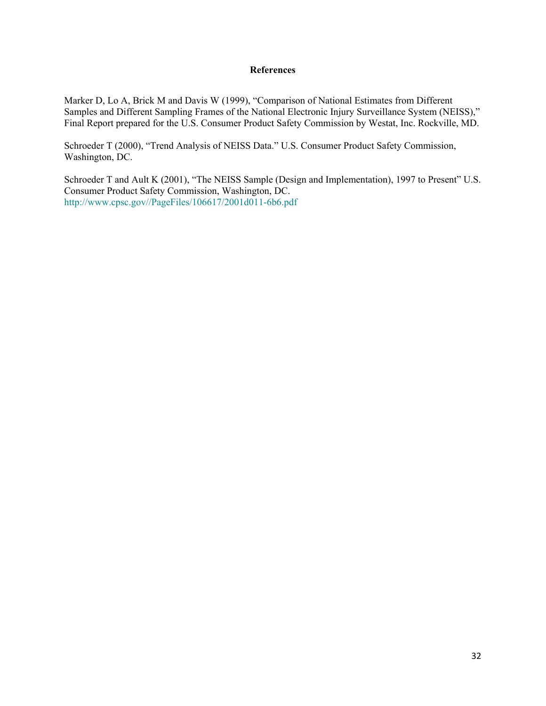## **References**

<span id="page-32-0"></span>Marker D, Lo A, Brick M and Davis W (1999), "Comparison of National Estimates from Different Samples and Different Sampling Frames of the National Electronic Injury Surveillance System (NEISS)," Final Report prepared for the U.S. Consumer Product Safety Commission by Westat, Inc. Rockville, MD.

Schroeder T (2000), "Trend Analysis of NEISS Data." U.S. Consumer Product Safety Commission, Washington, DC.

Schroeder T and Ault K (2001), "The NEISS Sample (Design and Implementation), 1997 to Present" U.S. Consumer Product Safety Commission, Washington, DC. [http://www.cpsc.gov//PageFiles/106617/2001d011-6b6.pdf](http://www.cpsc.gov/PageFiles/106617/2001d011-6b6.pdf)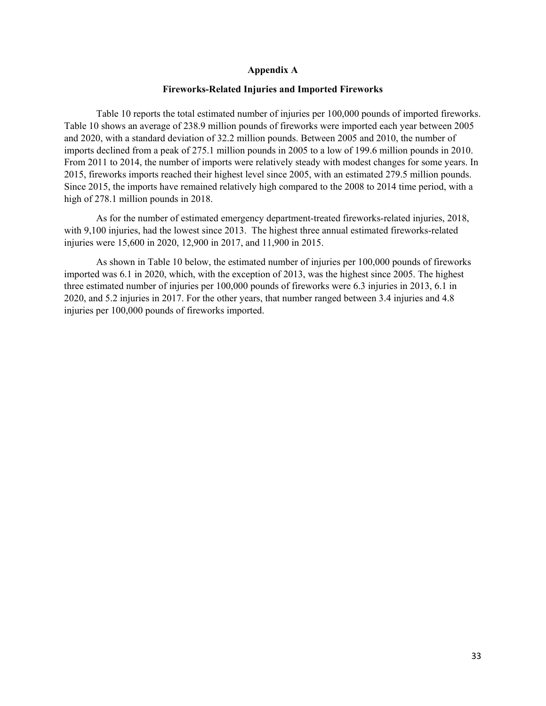### **Appendix A**

#### **Fireworks-Related Injuries and Imported Fireworks**

<span id="page-33-0"></span>Table 10 reports the total estimated number of injuries per 100,000 pounds of imported fireworks. Table 10 shows an average of 238.9 million pounds of fireworks were imported each year between 2005 and 2020, with a standard deviation of 32.2 million pounds. Between 2005 and 2010, the number of imports declined from a peak of 275.1 million pounds in 2005 to a low of 199.6 million pounds in 2010. From 2011 to 2014, the number of imports were relatively steady with modest changes for some years. In 2015, fireworks imports reached their highest level since 2005, with an estimated 279.5 million pounds. Since 2015, the imports have remained relatively high compared to the 2008 to 2014 time period, with a high of 278.1 million pounds in 2018.

As for the number of estimated emergency department-treated fireworks-related injuries, 2018, with 9,100 injuries, had the lowest since 2013. The highest three annual estimated fireworks-related injuries were 15,600 in 2020, 12,900 in 2017, and 11,900 in 2015.

As shown in Table 10 below, the estimated number of injuries per 100,000 pounds of fireworks imported was 6.1 in 2020, which, with the exception of 2013, was the highest since 2005. The highest three estimated number of injuries per 100,000 pounds of fireworks were 6.3 injuries in 2013, 6.1 in 2020, and 5.2 injuries in 2017. For the other years, that number ranged between 3.4 injuries and 4.8 injuries per 100,000 pounds of fireworks imported.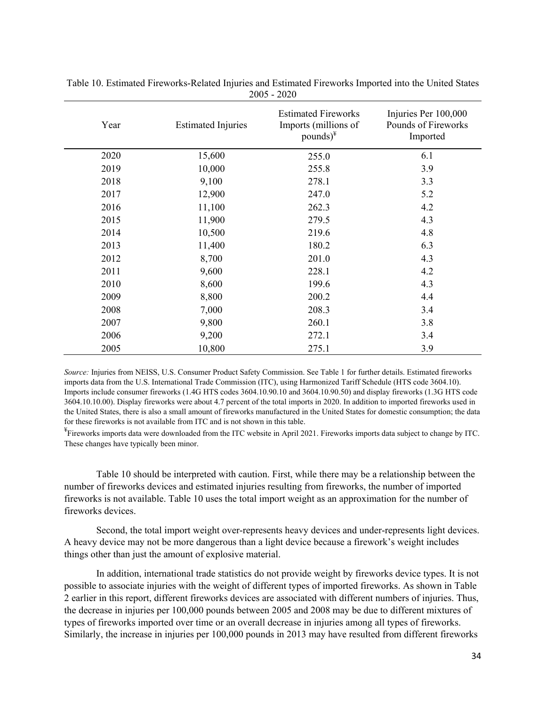| Year | <b>Estimated Injuries</b> | <b>Estimated Fireworks</b><br>Imports (millions of<br>pounds) $*$ | Injuries Per 100,000<br>Pounds of Fireworks<br>Imported |  |  |
|------|---------------------------|-------------------------------------------------------------------|---------------------------------------------------------|--|--|
| 2020 | 15,600                    | 255.0                                                             | 6.1                                                     |  |  |
| 2019 | 10,000                    | 255.8                                                             | 3.9                                                     |  |  |
| 2018 | 9,100                     | 278.1                                                             | 3.3                                                     |  |  |
| 2017 | 12,900                    | 247.0                                                             | 5.2                                                     |  |  |
| 2016 | 11,100                    | 262.3                                                             | 4.2                                                     |  |  |
| 2015 | 11,900                    | 279.5                                                             | 4.3                                                     |  |  |
| 2014 | 10,500                    | 219.6                                                             | 4.8                                                     |  |  |
| 2013 | 11,400                    | 180.2                                                             | 6.3                                                     |  |  |
| 2012 | 8,700                     | 201.0                                                             | 4.3                                                     |  |  |
| 2011 | 9,600                     | 228.1                                                             | 4.2                                                     |  |  |
| 2010 | 8,600                     | 199.6                                                             | 4.3                                                     |  |  |
| 2009 | 8,800                     | 200.2                                                             | 4.4                                                     |  |  |
| 2008 | 7,000                     | 208.3                                                             | 3.4                                                     |  |  |
| 2007 | 9,800                     | 260.1                                                             | 3.8                                                     |  |  |
| 2006 | 9,200                     | 272.1                                                             | 3.4                                                     |  |  |
| 2005 | 10,800                    | 275.1                                                             | 3.9                                                     |  |  |

Table 10. Estimated Fireworks-Related Injuries and Estimated Fireworks Imported into the United States 2005 - 2020

*Source:* Injuries from NEISS, U.S. Consumer Product Safety Commission. See Table 1 for further details. Estimated fireworks imports data from the U.S. International Trade Commission (ITC), using Harmonized Tariff Schedule (HTS code 3604.10). Imports include consumer fireworks (1.4G HTS codes 3604.10.90.10 and 3604.10.90.50) and display fireworks (1.3G HTS code 3604.10.10.00). Display fireworks were about 4.7 percent of the total imports in 2020. In addition to imported fireworks used in the United States, there is also a small amount of fireworks manufactured in the United States for domestic consumption; the data for these fireworks is not available from ITC and is not shown in this table.

¥ Fireworks imports data were downloaded from the ITC website in April 2021. Fireworks imports data subject to change by ITC. These changes have typically been minor.

Table 10 should be interpreted with caution. First, while there may be a relationship between the number of fireworks devices and estimated injuries resulting from fireworks, the number of imported fireworks is not available. Table 10 uses the total import weight as an approximation for the number of fireworks devices.

Second, the total import weight over-represents heavy devices and under-represents light devices. A heavy device may not be more dangerous than a light device because a firework's weight includes things other than just the amount of explosive material.

In addition, international trade statistics do not provide weight by fireworks device types. It is not possible to associate injuries with the weight of different types of imported fireworks. As shown in Table 2 earlier in this report, different fireworks devices are associated with different numbers of injuries. Thus, the decrease in injuries per 100,000 pounds between 2005 and 2008 may be due to different mixtures of types of fireworks imported over time or an overall decrease in injuries among all types of fireworks. Similarly, the increase in injuries per 100,000 pounds in 2013 may have resulted from different fireworks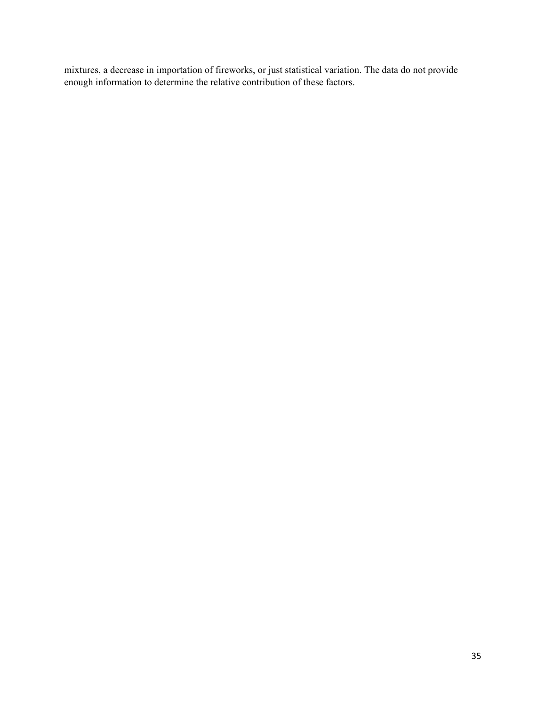mixtures, a decrease in importation of fireworks, or just statistical variation. The data do not provide enough information to determine the relative contribution of these factors.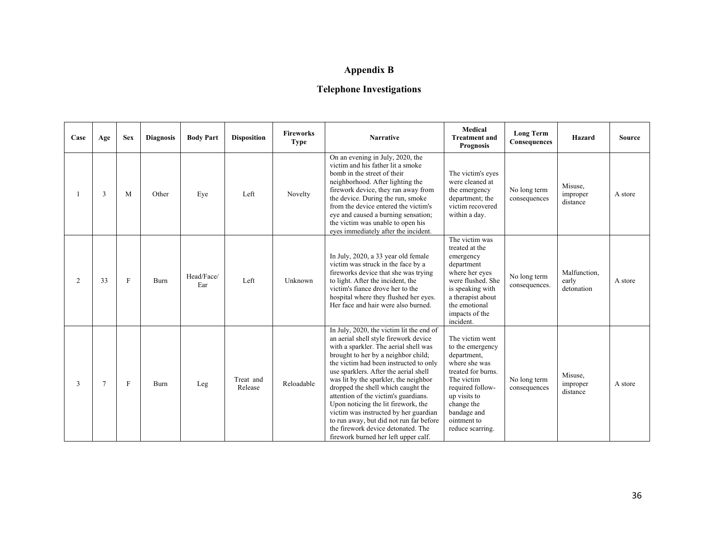# **Appendix B**

# **Telephone Investigations**

| Case | Age | <b>Sex</b> | <b>Diagnosis</b> | <b>Body Part</b>  | <b>Disposition</b>   | <b>Fireworks</b><br><b>Type</b> | <b>Narrative</b>                                                                                                                                                                                                                                                                                                                                                                                                                                                                                                                                                                     | Medical<br><b>Treatment and</b><br><b>Prognosis</b>                                                                                                                                                         | <b>Long Term</b><br>Consequences | Hazard                              | <b>Source</b> |
|------|-----|------------|------------------|-------------------|----------------------|---------------------------------|--------------------------------------------------------------------------------------------------------------------------------------------------------------------------------------------------------------------------------------------------------------------------------------------------------------------------------------------------------------------------------------------------------------------------------------------------------------------------------------------------------------------------------------------------------------------------------------|-------------------------------------------------------------------------------------------------------------------------------------------------------------------------------------------------------------|----------------------------------|-------------------------------------|---------------|
|      | 3   | M          | Other            | Eye               | Left                 | Novelty                         | On an evening in July, 2020, the<br>victim and his father lit a smoke<br>bomb in the street of their<br>neighborhood. After lighting the<br>firework device, they ran away from<br>the device. During the run, smoke<br>from the device entered the victim's<br>eye and caused a burning sensation;<br>the victim was unable to open his<br>eyes immediately after the incident.                                                                                                                                                                                                     | The victim's eyes<br>were cleaned at<br>the emergency<br>department; the<br>victim recovered<br>within a day.                                                                                               | No long term<br>consequences     | Misuse,<br>improper<br>distance     | A store       |
| 2    | 33  | F          | Burn             | Head/Face/<br>Ear | Left                 | Unknown                         | In July, 2020, a 33 year old female<br>victim was struck in the face by a<br>fireworks device that she was trying<br>to light. After the incident, the<br>victim's fiance drove her to the<br>hospital where they flushed her eyes.<br>Her face and hair were also burned.                                                                                                                                                                                                                                                                                                           | The victim was<br>treated at the<br>emergency<br>department<br>where her eyes<br>were flushed. She<br>is speaking with<br>a therapist about<br>the emotional<br>impacts of the<br>incident.                 | No long term<br>consequences.    | Malfunction,<br>early<br>detonation | A store       |
| 3    | 7   | F          | Burn             | Leg               | Treat and<br>Release | Reloadable                      | In July, 2020, the victim lit the end of<br>an aerial shell style firework device<br>with a sparkler. The aerial shell was<br>brought to her by a neighbor child;<br>the victim had been instructed to only<br>use sparklers. After the aerial shell<br>was lit by the sparkler, the neighbor<br>dropped the shell which caught the<br>attention of the victim's guardians.<br>Upon noticing the lit firework, the<br>victim was instructed by her guardian<br>to run away, but did not run far before<br>the firework device detonated. The<br>firework burned her left upper calf. | The victim went<br>to the emergency<br>department,<br>where she was<br>treated for burns.<br>The victim<br>required follow-<br>up visits to<br>change the<br>bandage and<br>ointment to<br>reduce scarring. | No long term<br>consequences     | Misuse,<br>improper<br>distance     | A store       |